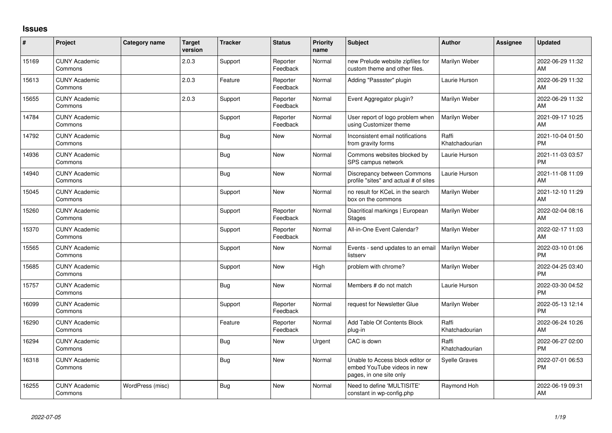## **Issues**

| $\sharp$ | Project                         | Category name    | <b>Target</b><br>version | <b>Tracker</b> | <b>Status</b>        | <b>Priority</b><br>name | <b>Subject</b>                                                                             | <b>Author</b>           | Assignee | <b>Updated</b>                |
|----------|---------------------------------|------------------|--------------------------|----------------|----------------------|-------------------------|--------------------------------------------------------------------------------------------|-------------------------|----------|-------------------------------|
| 15169    | <b>CUNY Academic</b><br>Commons |                  | 2.0.3                    | Support        | Reporter<br>Feedback | Normal                  | new Prelude website zipfiles for<br>custom theme and other files.                          | Marilyn Weber           |          | 2022-06-29 11:32<br>AM        |
| 15613    | <b>CUNY Academic</b><br>Commons |                  | 2.0.3                    | Feature        | Reporter<br>Feedback | Normal                  | Adding "Passster" plugin                                                                   | Laurie Hurson           |          | 2022-06-29 11:32<br>AM        |
| 15655    | <b>CUNY Academic</b><br>Commons |                  | 2.0.3                    | Support        | Reporter<br>Feedback | Normal                  | Event Aggregator plugin?                                                                   | Marilyn Weber           |          | 2022-06-29 11:32<br>AM        |
| 14784    | <b>CUNY Academic</b><br>Commons |                  |                          | Support        | Reporter<br>Feedback | Normal                  | User report of logo problem when<br>using Customizer theme                                 | Marilyn Weber           |          | 2021-09-17 10:25<br>AM        |
| 14792    | <b>CUNY Academic</b><br>Commons |                  |                          | <b>Bug</b>     | <b>New</b>           | Normal                  | Inconsistent email notifications<br>from gravity forms                                     | Raffi<br>Khatchadourian |          | 2021-10-04 01:50<br><b>PM</b> |
| 14936    | <b>CUNY Academic</b><br>Commons |                  |                          | <b>Bug</b>     | New                  | Normal                  | Commons websites blocked by<br>SPS campus network                                          | Laurie Hurson           |          | 2021-11-03 03:57<br><b>PM</b> |
| 14940    | <b>CUNY Academic</b><br>Commons |                  |                          | <b>Bug</b>     | New                  | Normal                  | Discrepancy between Commons<br>profile "sites" and actual # of sites                       | Laurie Hurson           |          | 2021-11-08 11:09<br>AM        |
| 15045    | CUNY Academic<br>Commons        |                  |                          | Support        | <b>New</b>           | Normal                  | no result for KCeL in the search<br>box on the commons                                     | Marilyn Weber           |          | 2021-12-10 11:29<br>AM        |
| 15260    | <b>CUNY Academic</b><br>Commons |                  |                          | Support        | Reporter<br>Feedback | Normal                  | Diacritical markings   European<br><b>Stages</b>                                           | Marilyn Weber           |          | 2022-02-04 08:16<br>AM        |
| 15370    | <b>CUNY Academic</b><br>Commons |                  |                          | Support        | Reporter<br>Feedback | Normal                  | All-in-One Event Calendar?                                                                 | Marilyn Weber           |          | 2022-02-17 11:03<br>AM        |
| 15565    | <b>CUNY Academic</b><br>Commons |                  |                          | Support        | <b>New</b>           | Normal                  | Events - send updates to an email<br>listserv                                              | Marilyn Weber           |          | 2022-03-10 01:06<br><b>PM</b> |
| 15685    | <b>CUNY Academic</b><br>Commons |                  |                          | Support        | New                  | High                    | problem with chrome?                                                                       | Marilyn Weber           |          | 2022-04-25 03:40<br><b>PM</b> |
| 15757    | <b>CUNY Academic</b><br>Commons |                  |                          | <b>Bug</b>     | <b>New</b>           | Normal                  | Members # do not match                                                                     | Laurie Hurson           |          | 2022-03-30 04:52<br><b>PM</b> |
| 16099    | <b>CUNY Academic</b><br>Commons |                  |                          | Support        | Reporter<br>Feedback | Normal                  | request for Newsletter Glue                                                                | Marilyn Weber           |          | 2022-05-13 12:14<br><b>PM</b> |
| 16290    | <b>CUNY Academic</b><br>Commons |                  |                          | Feature        | Reporter<br>Feedback | Normal                  | Add Table Of Contents Block<br>plug-in                                                     | Raffi<br>Khatchadourian |          | 2022-06-24 10:26<br>AM        |
| 16294    | <b>CUNY Academic</b><br>Commons |                  |                          | Bug            | <b>New</b>           | Urgent                  | CAC is down                                                                                | Raffi<br>Khatchadourian |          | 2022-06-27 02:00<br><b>PM</b> |
| 16318    | <b>CUNY Academic</b><br>Commons |                  |                          | <b>Bug</b>     | <b>New</b>           | Normal                  | Unable to Access block editor or<br>embed YouTube videos in new<br>pages, in one site only | <b>Syelle Graves</b>    |          | 2022-07-01 06:53<br><b>PM</b> |
| 16255    | <b>CUNY Academic</b><br>Commons | WordPress (misc) |                          | Bug            | <b>New</b>           | Normal                  | Need to define 'MULTISITE'<br>constant in wp-config.php                                    | Raymond Hoh             |          | 2022-06-19 09:31<br>AM        |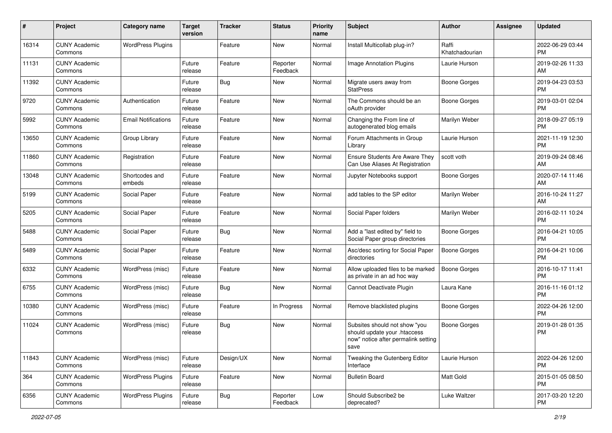| #     | Project                         | <b>Category name</b>       | Target<br>version | <b>Tracker</b> | <b>Status</b>        | <b>Priority</b><br>name | <b>Subject</b>                                                                                               | <b>Author</b>           | <b>Assignee</b> | <b>Updated</b>                |
|-------|---------------------------------|----------------------------|-------------------|----------------|----------------------|-------------------------|--------------------------------------------------------------------------------------------------------------|-------------------------|-----------------|-------------------------------|
| 16314 | <b>CUNY Academic</b><br>Commons | <b>WordPress Plugins</b>   |                   | Feature        | New                  | Normal                  | Install Multicollab plug-in?                                                                                 | Raffi<br>Khatchadourian |                 | 2022-06-29 03:44<br><b>PM</b> |
| 11131 | <b>CUNY Academic</b><br>Commons |                            | Future<br>release | Feature        | Reporter<br>Feedback | Normal                  | Image Annotation Plugins                                                                                     | Laurie Hurson           |                 | 2019-02-26 11:33<br>AM        |
| 11392 | <b>CUNY Academic</b><br>Commons |                            | Future<br>release | Bug            | New                  | Normal                  | Migrate users away from<br><b>StatPress</b>                                                                  | Boone Gorges            |                 | 2019-04-23 03:53<br><b>PM</b> |
| 9720  | <b>CUNY Academic</b><br>Commons | Authentication             | Future<br>release | Feature        | New                  | Normal                  | The Commons should be an<br>oAuth provider                                                                   | Boone Gorges            |                 | 2019-03-01 02:04<br><b>PM</b> |
| 5992  | <b>CUNY Academic</b><br>Commons | <b>Email Notifications</b> | Future<br>release | Feature        | New                  | Normal                  | Changing the From line of<br>autogenerated blog emails                                                       | Marilyn Weber           |                 | 2018-09-27 05:19<br><b>PM</b> |
| 13650 | <b>CUNY Academic</b><br>Commons | Group Library              | Future<br>release | Feature        | New                  | Normal                  | Forum Attachments in Group<br>Library                                                                        | Laurie Hurson           |                 | 2021-11-19 12:30<br><b>PM</b> |
| 11860 | <b>CUNY Academic</b><br>Commons | Registration               | Future<br>release | Feature        | New                  | Normal                  | Ensure Students Are Aware They<br>Can Use Aliases At Registration                                            | scott voth              |                 | 2019-09-24 08:46<br>AM        |
| 13048 | <b>CUNY Academic</b><br>Commons | Shortcodes and<br>embeds   | Future<br>release | Feature        | New                  | Normal                  | Jupyter Notebooks support                                                                                    | Boone Gorges            |                 | 2020-07-14 11:46<br>AM        |
| 5199  | <b>CUNY Academic</b><br>Commons | Social Paper               | Future<br>release | Feature        | New                  | Normal                  | add tables to the SP editor                                                                                  | Marilyn Weber           |                 | 2016-10-24 11:27<br>AM        |
| 5205  | <b>CUNY Academic</b><br>Commons | Social Paper               | Future<br>release | Feature        | New                  | Normal                  | Social Paper folders                                                                                         | Marilyn Weber           |                 | 2016-02-11 10:24<br><b>PM</b> |
| 5488  | <b>CUNY Academic</b><br>Commons | Social Paper               | Future<br>release | Bug            | New                  | Normal                  | Add a "last edited by" field to<br>Social Paper group directories                                            | Boone Gorges            |                 | 2016-04-21 10:05<br><b>PM</b> |
| 5489  | <b>CUNY Academic</b><br>Commons | Social Paper               | Future<br>release | Feature        | New                  | Normal                  | Asc/desc sorting for Social Paper<br>directories                                                             | Boone Gorges            |                 | 2016-04-21 10:06<br><b>PM</b> |
| 6332  | <b>CUNY Academic</b><br>Commons | WordPress (misc)           | Future<br>release | Feature        | New                  | Normal                  | Allow uploaded files to be marked<br>as private in an ad hoc way                                             | <b>Boone Gorges</b>     |                 | 2016-10-17 11:41<br><b>PM</b> |
| 6755  | <b>CUNY Academic</b><br>Commons | WordPress (misc)           | Future<br>release | Bug            | New                  | Normal                  | Cannot Deactivate Plugin                                                                                     | Laura Kane              |                 | 2016-11-16 01:12<br><b>PM</b> |
| 10380 | <b>CUNY Academic</b><br>Commons | WordPress (misc)           | Future<br>release | Feature        | In Progress          | Normal                  | Remove blacklisted plugins                                                                                   | Boone Gorges            |                 | 2022-04-26 12:00<br><b>PM</b> |
| 11024 | <b>CUNY Academic</b><br>Commons | WordPress (misc)           | Future<br>release | <b>Bug</b>     | New                  | Normal                  | Subsites should not show "you<br>should update your .htaccess<br>now" notice after permalink setting<br>save | Boone Gorges            |                 | 2019-01-28 01:35<br>PM        |
| 11843 | <b>CUNY Academic</b><br>Commons | WordPress (misc)           | Future<br>release | Design/UX      | New                  | Normal                  | Tweaking the Gutenberg Editor<br>Interface                                                                   | Laurie Hurson           |                 | 2022-04-26 12:00<br>PM.       |
| 364   | <b>CUNY Academic</b><br>Commons | <b>WordPress Plugins</b>   | Future<br>release | Feature        | New                  | Normal                  | <b>Bulletin Board</b>                                                                                        | Matt Gold               |                 | 2015-01-05 08:50<br><b>PM</b> |
| 6356  | <b>CUNY Academic</b><br>Commons | <b>WordPress Plugins</b>   | Future<br>release | <b>Bug</b>     | Reporter<br>Feedback | Low                     | Should Subscribe2 be<br>deprecated?                                                                          | Luke Waltzer            |                 | 2017-03-20 12:20<br><b>PM</b> |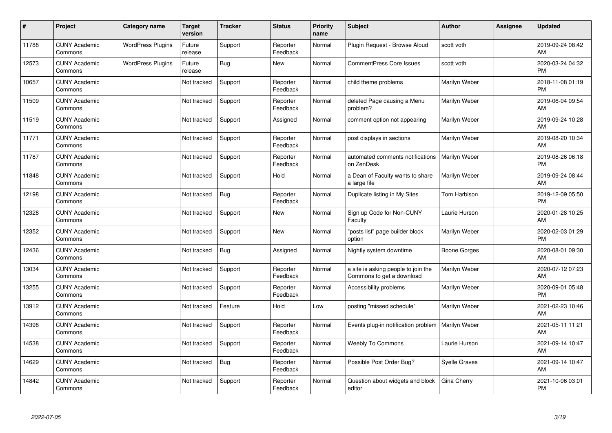| #     | Project                         | <b>Category name</b>     | <b>Target</b><br>version | <b>Tracker</b> | <b>Status</b>        | <b>Priority</b><br>name | <b>Subject</b>                                                   | <b>Author</b>        | <b>Assignee</b> | <b>Updated</b>                |
|-------|---------------------------------|--------------------------|--------------------------|----------------|----------------------|-------------------------|------------------------------------------------------------------|----------------------|-----------------|-------------------------------|
| 11788 | <b>CUNY Academic</b><br>Commons | <b>WordPress Plugins</b> | Future<br>release        | Support        | Reporter<br>Feedback | Normal                  | Plugin Request - Browse Aloud                                    | scott voth           |                 | 2019-09-24 08:42<br>AM        |
| 12573 | <b>CUNY Academic</b><br>Commons | <b>WordPress Plugins</b> | Future<br>release        | Bug            | New                  | Normal                  | <b>CommentPress Core Issues</b>                                  | scott voth           |                 | 2020-03-24 04:32<br><b>PM</b> |
| 10657 | <b>CUNY Academic</b><br>Commons |                          | Not tracked              | Support        | Reporter<br>Feedback | Normal                  | child theme problems                                             | Marilyn Weber        |                 | 2018-11-08 01:19<br><b>PM</b> |
| 11509 | <b>CUNY Academic</b><br>Commons |                          | Not tracked              | Support        | Reporter<br>Feedback | Normal                  | deleted Page causing a Menu<br>problem?                          | Marilyn Weber        |                 | 2019-06-04 09:54<br>AM        |
| 11519 | <b>CUNY Academic</b><br>Commons |                          | Not tracked              | Support        | Assigned             | Normal                  | comment option not appearing                                     | Marilyn Weber        |                 | 2019-09-24 10:28<br>AM        |
| 11771 | <b>CUNY Academic</b><br>Commons |                          | Not tracked              | Support        | Reporter<br>Feedback | Normal                  | post displays in sections                                        | Marilyn Weber        |                 | 2019-08-20 10:34<br>AM        |
| 11787 | <b>CUNY Academic</b><br>Commons |                          | Not tracked              | Support        | Reporter<br>Feedback | Normal                  | automated comments notifications<br>on ZenDesk                   | Marilyn Weber        |                 | 2019-08-26 06:18<br><b>PM</b> |
| 11848 | <b>CUNY Academic</b><br>Commons |                          | Not tracked              | Support        | Hold                 | Normal                  | a Dean of Faculty wants to share<br>a large file                 | Marilyn Weber        |                 | 2019-09-24 08:44<br>AM        |
| 12198 | <b>CUNY Academic</b><br>Commons |                          | Not tracked              | Bug            | Reporter<br>Feedback | Normal                  | Duplicate listing in My Sites                                    | Tom Harbison         |                 | 2019-12-09 05:50<br><b>PM</b> |
| 12328 | <b>CUNY Academic</b><br>Commons |                          | Not tracked              | Support        | <b>New</b>           | Normal                  | Sign up Code for Non-CUNY<br>Faculty                             | Laurie Hurson        |                 | 2020-01-28 10:25<br>AM        |
| 12352 | <b>CUNY Academic</b><br>Commons |                          | Not tracked              | Support        | New                  | Normal                  | "posts list" page builder block<br>option                        | Marilyn Weber        |                 | 2020-02-03 01:29<br><b>PM</b> |
| 12436 | <b>CUNY Academic</b><br>Commons |                          | Not tracked              | <b>Bug</b>     | Assigned             | Normal                  | Nightly system downtime                                          | Boone Gorges         |                 | 2020-08-01 09:30<br>AM        |
| 13034 | <b>CUNY Academic</b><br>Commons |                          | Not tracked              | Support        | Reporter<br>Feedback | Normal                  | a site is asking people to join the<br>Commons to get a download | Marilyn Weber        |                 | 2020-07-12 07:23<br>AM        |
| 13255 | <b>CUNY Academic</b><br>Commons |                          | Not tracked              | Support        | Reporter<br>Feedback | Normal                  | Accessibility problems                                           | Marilyn Weber        |                 | 2020-09-01 05:48<br><b>PM</b> |
| 13912 | <b>CUNY Academic</b><br>Commons |                          | Not tracked              | Feature        | Hold                 | Low                     | posting "missed schedule"                                        | Marilyn Weber        |                 | 2021-02-23 10:46<br><b>AM</b> |
| 14398 | <b>CUNY Academic</b><br>Commons |                          | Not tracked              | Support        | Reporter<br>Feedback | Normal                  | Events plug-in notification problem                              | Marilyn Weber        |                 | 2021-05-11 11:21<br>AM        |
| 14538 | <b>CUNY Academic</b><br>Commons |                          | Not tracked              | Support        | Reporter<br>Feedback | Normal                  | <b>Weebly To Commons</b>                                         | Laurie Hurson        |                 | 2021-09-14 10:47<br><b>AM</b> |
| 14629 | <b>CUNY Academic</b><br>Commons |                          | Not tracked              | Bug            | Reporter<br>Feedback | Normal                  | Possible Post Order Bug?                                         | <b>Syelle Graves</b> |                 | 2021-09-14 10:47<br>AM        |
| 14842 | <b>CUNY Academic</b><br>Commons |                          | Not tracked              | Support        | Reporter<br>Feedback | Normal                  | Question about widgets and block<br>editor                       | Gina Cherry          |                 | 2021-10-06 03:01<br>PM        |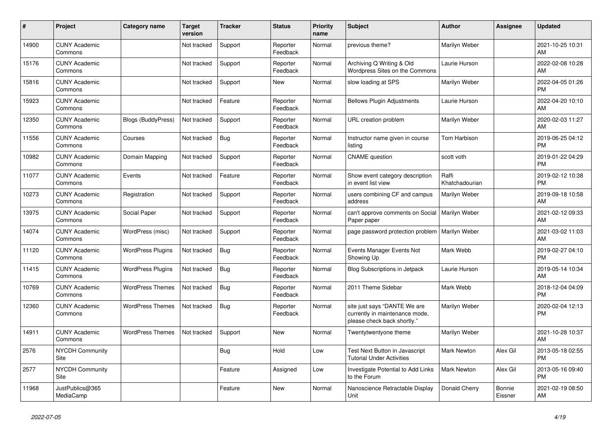| #     | <b>Project</b>                  | <b>Category name</b>      | <b>Target</b><br>version | <b>Tracker</b> | <b>Status</b>        | <b>Priority</b><br>name | <b>Subject</b>                                                                                | <b>Author</b>           | <b>Assignee</b>   | <b>Updated</b>                |
|-------|---------------------------------|---------------------------|--------------------------|----------------|----------------------|-------------------------|-----------------------------------------------------------------------------------------------|-------------------------|-------------------|-------------------------------|
| 14900 | <b>CUNY Academic</b><br>Commons |                           | Not tracked              | Support        | Reporter<br>Feedback | Normal                  | previous theme?                                                                               | Marilyn Weber           |                   | 2021-10-25 10:31<br>AM        |
| 15176 | <b>CUNY Academic</b><br>Commons |                           | Not tracked              | Support        | Reporter<br>Feedback | Normal                  | Archiving Q Writing & Old<br>Wordpress Sites on the Commons                                   | Laurie Hurson           |                   | 2022-02-08 10:28<br>AM        |
| 15816 | <b>CUNY Academic</b><br>Commons |                           | Not tracked              | Support        | New                  | Normal                  | slow loading at SPS                                                                           | Marilyn Weber           |                   | 2022-04-05 01:26<br><b>PM</b> |
| 15923 | <b>CUNY Academic</b><br>Commons |                           | Not tracked              | Feature        | Reporter<br>Feedback | Normal                  | <b>Bellows Plugin Adjustments</b>                                                             | Laurie Hurson           |                   | 2022-04-20 10:10<br>AM        |
| 12350 | <b>CUNY Academic</b><br>Commons | <b>Blogs (BuddyPress)</b> | Not tracked              | Support        | Reporter<br>Feedback | Normal                  | URL creation problem                                                                          | Marilyn Weber           |                   | 2020-02-03 11:27<br>AM        |
| 11556 | <b>CUNY Academic</b><br>Commons | Courses                   | Not tracked              | <b>Bug</b>     | Reporter<br>Feedback | Normal                  | Instructor name given in course<br>listing                                                    | Tom Harbison            |                   | 2019-06-25 04:12<br><b>PM</b> |
| 10982 | <b>CUNY Academic</b><br>Commons | Domain Mapping            | Not tracked              | Support        | Reporter<br>Feedback | Normal                  | <b>CNAME</b> question                                                                         | scott voth              |                   | 2019-01-22 04:29<br><b>PM</b> |
| 11077 | <b>CUNY Academic</b><br>Commons | Events                    | Not tracked              | Feature        | Reporter<br>Feedback | Normal                  | Show event category description<br>in event list view                                         | Raffi<br>Khatchadourian |                   | 2019-02-12 10:38<br><b>PM</b> |
| 10273 | <b>CUNY Academic</b><br>Commons | Registration              | Not tracked              | Support        | Reporter<br>Feedback | Normal                  | users combining CF and campus<br>address                                                      | Marilyn Weber           |                   | 2019-09-18 10:58<br>AM        |
| 13975 | <b>CUNY Academic</b><br>Commons | Social Paper              | Not tracked              | Support        | Reporter<br>Feedback | Normal                  | can't approve comments on Social<br>Paper paper                                               | Marilyn Weber           |                   | 2021-02-12 09:33<br>AM        |
| 14074 | <b>CUNY Academic</b><br>Commons | WordPress (misc)          | Not tracked              | Support        | Reporter<br>Feedback | Normal                  | page password protection problem                                                              | Marilyn Weber           |                   | 2021-03-02 11:03<br>AM        |
| 11120 | <b>CUNY Academic</b><br>Commons | <b>WordPress Plugins</b>  | Not tracked              | Bug            | Reporter<br>Feedback | Normal                  | Events Manager Events Not<br>Showing Up                                                       | Mark Webb               |                   | 2019-02-27 04:10<br><b>PM</b> |
| 11415 | <b>CUNY Academic</b><br>Commons | <b>WordPress Plugins</b>  | Not tracked              | <b>Bug</b>     | Reporter<br>Feedback | Normal                  | <b>Blog Subscriptions in Jetpack</b>                                                          | Laurie Hurson           |                   | 2019-05-14 10:34<br>AM        |
| 10769 | <b>CUNY Academic</b><br>Commons | <b>WordPress Themes</b>   | Not tracked              | <b>Bug</b>     | Reporter<br>Feedback | Normal                  | 2011 Theme Sidebar                                                                            | Mark Webb               |                   | 2018-12-04 04:09<br><b>PM</b> |
| 12360 | <b>CUNY Academic</b><br>Commons | <b>WordPress Themes</b>   | Not tracked              | Bug            | Reporter<br>Feedback | Normal                  | site just says "DANTE We are<br>currently in maintenance mode,<br>please check back shortly." | Marilyn Weber           |                   | 2020-02-04 12:13<br><b>PM</b> |
| 14911 | <b>CUNY Academic</b><br>Commons | <b>WordPress Themes</b>   | Not tracked              | Support        | New                  | Normal                  | Twentytwentyone theme                                                                         | Marilyn Weber           |                   | 2021-10-28 10:37<br>AM        |
| 2576  | <b>NYCDH Community</b><br>Site  |                           |                          | Bug            | Hold                 | Low                     | Test Next Button in Javascript<br><b>Tutorial Under Activities</b>                            | <b>Mark Newton</b>      | Alex Gil          | 2013-05-18 02:55<br><b>PM</b> |
| 2577  | NYCDH Community<br>Site         |                           |                          | Feature        | Assigned             | Low                     | Investigate Potential to Add Links<br>to the Forum                                            | <b>Mark Newton</b>      | Alex Gil          | 2013-05-16 09:40<br><b>PM</b> |
| 11968 | JustPublics@365<br>MediaCamp    |                           |                          | Feature        | <b>New</b>           | Normal                  | Nanoscience Retractable Display<br>Unit                                                       | Donald Cherry           | Bonnie<br>Eissner | 2021-02-19 08:50<br>AM        |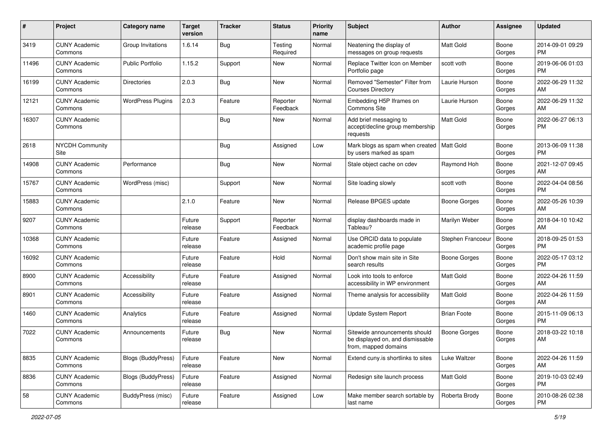| $\#$  | Project                         | <b>Category name</b>      | <b>Target</b><br>version | <b>Tracker</b> | <b>Status</b>        | <b>Priority</b><br>name | <b>Subject</b>                                                                            | Author              | <b>Assignee</b> | <b>Updated</b>                |
|-------|---------------------------------|---------------------------|--------------------------|----------------|----------------------|-------------------------|-------------------------------------------------------------------------------------------|---------------------|-----------------|-------------------------------|
| 3419  | <b>CUNY Academic</b><br>Commons | Group Invitations         | 1.6.14                   | Bug            | Testing<br>Required  | Normal                  | Neatening the display of<br>messages on group requests                                    | Matt Gold           | Boone<br>Gorges | 2014-09-01 09:29<br>PM        |
| 11496 | <b>CUNY Academic</b><br>Commons | <b>Public Portfolio</b>   | 1.15.2                   | Support        | New                  | Normal                  | Replace Twitter Icon on Member<br>Portfolio page                                          | scott voth          | Boone<br>Gorges | 2019-06-06 01:03<br><b>PM</b> |
| 16199 | <b>CUNY Academic</b><br>Commons | <b>Directories</b>        | 2.0.3                    | Bug            | <b>New</b>           | Normal                  | Removed "Semester" Filter from<br><b>Courses Directory</b>                                | Laurie Hurson       | Boone<br>Gorges | 2022-06-29 11:32<br>AM        |
| 12121 | <b>CUNY Academic</b><br>Commons | <b>WordPress Plugins</b>  | 2.0.3                    | Feature        | Reporter<br>Feedback | Normal                  | Embedding H5P Iframes on<br><b>Commons Site</b>                                           | Laurie Hurson       | Boone<br>Gorges | 2022-06-29 11:32<br>AM        |
| 16307 | <b>CUNY Academic</b><br>Commons |                           |                          | <b>Bug</b>     | New                  | Normal                  | Add brief messaging to<br>accept/decline group membership<br>requests                     | Matt Gold           | Boone<br>Gorges | 2022-06-27 06:13<br><b>PM</b> |
| 2618  | <b>NYCDH Community</b><br>Site  |                           |                          | Bug            | Assigned             | Low                     | Mark blogs as spam when created<br>by users marked as spam                                | Matt Gold           | Boone<br>Gorges | 2013-06-09 11:38<br><b>PM</b> |
| 14908 | <b>CUNY Academic</b><br>Commons | Performance               |                          | Bug            | New                  | Normal                  | Stale object cache on cdev                                                                | Raymond Hoh         | Boone<br>Gorges | 2021-12-07 09:45<br>AM        |
| 15767 | <b>CUNY Academic</b><br>Commons | WordPress (misc)          |                          | Support        | New                  | Normal                  | Site loading slowly                                                                       | scott voth          | Boone<br>Gorges | 2022-04-04 08:56<br><b>PM</b> |
| 15883 | <b>CUNY Academic</b><br>Commons |                           | 2.1.0                    | Feature        | <b>New</b>           | Normal                  | Release BPGES update                                                                      | <b>Boone Gorges</b> | Boone<br>Gorges | 2022-05-26 10:39<br>AM        |
| 9207  | <b>CUNY Academic</b><br>Commons |                           | Future<br>release        | Support        | Reporter<br>Feedback | Normal                  | display dashboards made in<br>Tableau?                                                    | Marilyn Weber       | Boone<br>Gorges | 2018-04-10 10:42<br>AM        |
| 10368 | <b>CUNY Academic</b><br>Commons |                           | Future<br>release        | Feature        | Assigned             | Normal                  | Use ORCID data to populate<br>academic profile page                                       | Stephen Francoeur   | Boone<br>Gorges | 2018-09-25 01:53<br><b>PM</b> |
| 16092 | <b>CUNY Academic</b><br>Commons |                           | Future<br>release        | Feature        | Hold                 | Normal                  | Don't show main site in Site<br>search results                                            | Boone Gorges        | Boone<br>Gorges | 2022-05-17 03:12<br><b>PM</b> |
| 8900  | <b>CUNY Academic</b><br>Commons | Accessibility             | Future<br>release        | Feature        | Assigned             | Normal                  | Look into tools to enforce<br>accessibility in WP environment                             | Matt Gold           | Boone<br>Gorges | 2022-04-26 11:59<br>AM        |
| 8901  | <b>CUNY Academic</b><br>Commons | Accessibility             | Future<br>release        | Feature        | Assigned             | Normal                  | Theme analysis for accessibility                                                          | Matt Gold           | Boone<br>Gorges | 2022-04-26 11:59<br>AM        |
| 1460  | <b>CUNY Academic</b><br>Commons | Analytics                 | Future<br>release        | Feature        | Assigned             | Normal                  | Update System Report                                                                      | <b>Brian Foote</b>  | Boone<br>Gorges | 2015-11-09 06:13<br><b>PM</b> |
| 7022  | <b>CUNY Academic</b><br>Commons | Announcements             | Future<br>release        | Bug            | New                  | Normal                  | Sitewide announcements should<br>be displayed on, and dismissable<br>from, mapped domains | Boone Gorges        | Boone<br>Gorges | 2018-03-22 10:18<br>AM        |
| 8835  | <b>CUNY Academic</b><br>Commons | <b>Blogs (BuddyPress)</b> | Future<br>release        | Feature        | New                  | Normal                  | Extend cuny is shortlinks to sites                                                        | Luke Waltzer        | Boone<br>Gorges | 2022-04-26 11:59<br>AM        |
| 8836  | <b>CUNY Academic</b><br>Commons | Blogs (BuddyPress)        | Future<br>release        | Feature        | Assigned             | Normal                  | Redesign site launch process                                                              | Matt Gold           | Boone<br>Gorges | 2019-10-03 02:49<br><b>PM</b> |
| 58    | <b>CUNY Academic</b><br>Commons | BuddyPress (misc)         | Future<br>release        | Feature        | Assigned             | Low                     | Make member search sortable by<br>last name                                               | Roberta Brody       | Boone<br>Gorges | 2010-08-26 02:38<br><b>PM</b> |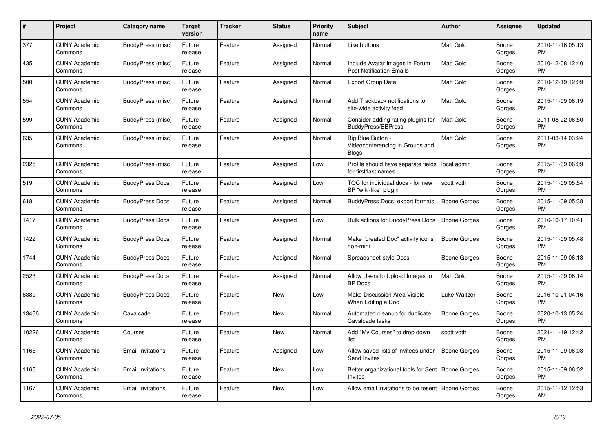| $\#$  | <b>Project</b>                  | <b>Category name</b>     | <b>Target</b><br>version | <b>Tracker</b> | <b>Status</b> | <b>Priority</b><br>name | <b>Subject</b>                                                    | <b>Author</b>       | Assignee        | <b>Updated</b>                |
|-------|---------------------------------|--------------------------|--------------------------|----------------|---------------|-------------------------|-------------------------------------------------------------------|---------------------|-----------------|-------------------------------|
| 377   | <b>CUNY Academic</b><br>Commons | <b>BuddyPress (misc)</b> | Future<br>release        | Feature        | Assigned      | Normal                  | Like buttons                                                      | <b>Matt Gold</b>    | Boone<br>Gorges | 2010-11-16 05:13<br><b>PM</b> |
| 435   | <b>CUNY Academic</b><br>Commons | BuddyPress (misc)        | Future<br>release        | Feature        | Assigned      | Normal                  | Include Avatar Images in Forum<br><b>Post Notification Emails</b> | <b>Matt Gold</b>    | Boone<br>Gorges | 2010-12-08 12:40<br><b>PM</b> |
| 500   | <b>CUNY Academic</b><br>Commons | BuddyPress (misc)        | Future<br>release        | Feature        | Assigned      | Normal                  | <b>Export Group Data</b>                                          | <b>Matt Gold</b>    | Boone<br>Gorges | 2010-12-19 12:09<br><b>PM</b> |
| 554   | <b>CUNY Academic</b><br>Commons | BuddyPress (misc)        | Future<br>release        | Feature        | Assigned      | Normal                  | Add Trackback notifications to<br>site-wide activity feed         | <b>Matt Gold</b>    | Boone<br>Gorges | 2015-11-09 06:19<br><b>PM</b> |
| 599   | <b>CUNY Academic</b><br>Commons | <b>BuddyPress (misc)</b> | Future<br>release        | Feature        | Assigned      | Normal                  | Consider adding rating plugins for<br><b>BuddyPress/BBPress</b>   | Matt Gold           | Boone<br>Gorges | 2011-08-22 06:50<br><b>PM</b> |
| 635   | <b>CUNY Academic</b><br>Commons | BuddyPress (misc)        | Future<br>release        | Feature        | Assigned      | Normal                  | Big Blue Button -<br>Videoconferencing in Groups and<br>Blogs     | Matt Gold           | Boone<br>Gorges | 2011-03-14 03:24<br><b>PM</b> |
| 2325  | <b>CUNY Academic</b><br>Commons | BuddyPress (misc)        | Future<br>release        | Feature        | Assigned      | Low                     | Profile should have separate fields<br>for first/last names       | local admin         | Boone<br>Gorges | 2015-11-09 06:09<br><b>PM</b> |
| 519   | <b>CUNY Academic</b><br>Commons | <b>BuddyPress Docs</b>   | Future<br>release        | Feature        | Assigned      | Low                     | TOC for individual docs - for new<br>BP "wiki-like" plugin        | scott voth          | Boone<br>Gorges | 2015-11-09 05:54<br><b>PM</b> |
| 618   | <b>CUNY Academic</b><br>Commons | <b>BuddyPress Docs</b>   | Future<br>release        | Feature        | Assigned      | Normal                  | <b>BuddyPress Docs: export formats</b>                            | <b>Boone Gorges</b> | Boone<br>Gorges | 2015-11-09 05:38<br><b>PM</b> |
| 1417  | <b>CUNY Academic</b><br>Commons | <b>BuddyPress Docs</b>   | Future<br>release        | Feature        | Assigned      | Low                     | Bulk actions for BuddyPress Docs                                  | <b>Boone Gorges</b> | Boone<br>Gorges | 2016-10-17 10:41<br><b>PM</b> |
| 1422  | <b>CUNY Academic</b><br>Commons | <b>BuddyPress Docs</b>   | Future<br>release        | Feature        | Assigned      | Normal                  | Make "created Doc" activity icons<br>non-mini                     | <b>Boone Gorges</b> | Boone<br>Gorges | 2015-11-09 05:48<br><b>PM</b> |
| 1744  | <b>CUNY Academic</b><br>Commons | <b>BuddyPress Docs</b>   | Future<br>release        | Feature        | Assigned      | Normal                  | Spreadsheet-style Docs                                            | Boone Gorges        | Boone<br>Gorges | 2015-11-09 06:13<br><b>PM</b> |
| 2523  | <b>CUNY Academic</b><br>Commons | <b>BuddyPress Docs</b>   | Future<br>release        | Feature        | Assigned      | Normal                  | Allow Users to Upload Images to<br><b>BP</b> Docs                 | Matt Gold           | Boone<br>Gorges | 2015-11-09 06:14<br><b>PM</b> |
| 6389  | <b>CUNY Academic</b><br>Commons | <b>BuddyPress Docs</b>   | Future<br>release        | Feature        | <b>New</b>    | Low                     | Make Discussion Area Visible<br>When Editing a Doc                | Luke Waltzer        | Boone<br>Gorges | 2016-10-21 04:16<br><b>PM</b> |
| 13466 | <b>CUNY Academic</b><br>Commons | Cavalcade                | Future<br>release        | Feature        | New           | Normal                  | Automated cleanup for duplicate<br>Cavalcade tasks                | Boone Gorges        | Boone<br>Gorges | 2020-10-13 05:24<br><b>PM</b> |
| 10226 | <b>CUNY Academic</b><br>Commons | Courses                  | Future<br>release        | Feature        | New           | Normal                  | Add "My Courses" to drop down<br>list                             | scott voth          | Boone<br>Gorges | 2021-11-19 12:42<br><b>PM</b> |
| 1165  | <b>CUNY Academic</b><br>Commons | <b>Email Invitations</b> | Future<br>release        | Feature        | Assigned      | Low                     | Allow saved lists of invitees under<br>Send Invites               | Boone Gorges        | Boone<br>Gorges | 2015-11-09 06:03<br><b>PM</b> |
| 1166  | <b>CUNY Academic</b><br>Commons | <b>Email Invitations</b> | Future<br>release        | Feature        | New           | Low                     | Better organizational tools for Sent   Boone Gorges<br>Invites    |                     | Boone<br>Gorges | 2015-11-09 06:02<br><b>PM</b> |
| 1167  | <b>CUNY Academic</b><br>Commons | <b>Email Invitations</b> | Future<br>release        | Feature        | <b>New</b>    | Low                     | Allow email invitations to be resent   Boone Gorges               |                     | Boone<br>Gorges | 2015-11-12 12:53<br>AM        |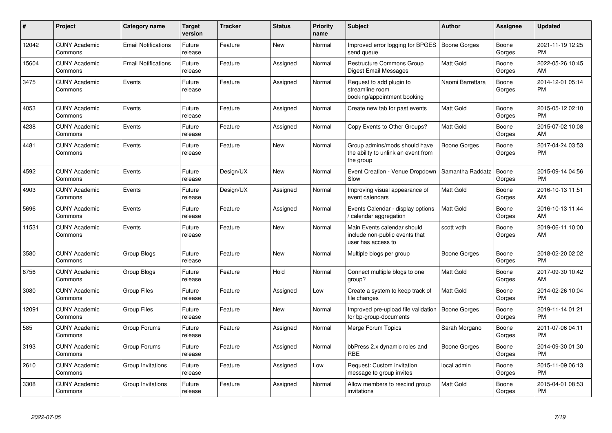| #     | Project                         | <b>Category name</b>       | <b>Target</b><br>version | <b>Tracker</b> | <b>Status</b> | <b>Priority</b><br>name | <b>Subject</b>                                                                      | <b>Author</b>    | Assignee        | <b>Updated</b>                |
|-------|---------------------------------|----------------------------|--------------------------|----------------|---------------|-------------------------|-------------------------------------------------------------------------------------|------------------|-----------------|-------------------------------|
| 12042 | <b>CUNY Academic</b><br>Commons | <b>Email Notifications</b> | Future<br>release        | Feature        | <b>New</b>    | Normal                  | Improved error logging for BPGES<br>send queue                                      | Boone Gorges     | Boone<br>Gorges | 2021-11-19 12:25<br><b>PM</b> |
| 15604 | <b>CUNY Academic</b><br>Commons | <b>Email Notifications</b> | Future<br>release        | Feature        | Assigned      | Normal                  | <b>Restructure Commons Group</b><br>Digest Email Messages                           | <b>Matt Gold</b> | Boone<br>Gorges | 2022-05-26 10:45<br>AM        |
| 3475  | <b>CUNY Academic</b><br>Commons | Events                     | Future<br>release        | Feature        | Assigned      | Normal                  | Request to add plugin to<br>streamline room<br>booking/appointment booking          | Naomi Barrettara | Boone<br>Gorges | 2014-12-01 05:14<br><b>PM</b> |
| 4053  | <b>CUNY Academic</b><br>Commons | Events                     | Future<br>release        | Feature        | Assigned      | Normal                  | Create new tab for past events                                                      | Matt Gold        | Boone<br>Gorges | 2015-05-12 02:10<br><b>PM</b> |
| 4238  | <b>CUNY Academic</b><br>Commons | Events                     | Future<br>release        | Feature        | Assigned      | Normal                  | Copy Events to Other Groups?                                                        | Matt Gold        | Boone<br>Gorges | 2015-07-02 10:08<br>AM        |
| 4481  | <b>CUNY Academic</b><br>Commons | Events                     | Future<br>release        | Feature        | <b>New</b>    | Normal                  | Group admins/mods should have<br>the ability to unlink an event from<br>the group   | Boone Gorges     | Boone<br>Gorges | 2017-04-24 03:53<br><b>PM</b> |
| 4592  | <b>CUNY Academic</b><br>Commons | Events                     | Future<br>release        | Design/UX      | New           | Normal                  | Event Creation - Venue Dropdown<br>Slow                                             | Samantha Raddatz | Boone<br>Gorges | 2015-09-14 04:56<br><b>PM</b> |
| 4903  | <b>CUNY Academic</b><br>Commons | Events                     | Future<br>release        | Design/UX      | Assigned      | Normal                  | Improving visual appearance of<br>event calendars                                   | <b>Matt Gold</b> | Boone<br>Gorges | 2016-10-13 11:51<br>AM        |
| 5696  | <b>CUNY Academic</b><br>Commons | Events                     | Future<br>release        | Feature        | Assigned      | Normal                  | Events Calendar - display options<br>calendar aggregation /                         | <b>Matt Gold</b> | Boone<br>Gorges | 2016-10-13 11:44<br>AM        |
| 11531 | <b>CUNY Academic</b><br>Commons | Events                     | Future<br>release        | Feature        | <b>New</b>    | Normal                  | Main Events calendar should<br>include non-public events that<br>user has access to | scott voth       | Boone<br>Gorges | 2019-06-11 10:00<br>AM        |
| 3580  | <b>CUNY Academic</b><br>Commons | Group Blogs                | Future<br>release        | Feature        | New           | Normal                  | Multiple blogs per group                                                            | Boone Gorges     | Boone<br>Gorges | 2018-02-20 02:02<br><b>PM</b> |
| 8756  | <b>CUNY Academic</b><br>Commons | Group Blogs                | Future<br>release        | Feature        | Hold          | Normal                  | Connect multiple blogs to one<br>group?                                             | <b>Matt Gold</b> | Boone<br>Gorges | 2017-09-30 10:42<br>AM        |
| 3080  | <b>CUNY Academic</b><br>Commons | <b>Group Files</b>         | Future<br>release        | Feature        | Assigned      | Low                     | Create a system to keep track of<br>file changes                                    | <b>Matt Gold</b> | Boone<br>Gorges | 2014-02-26 10:04<br><b>PM</b> |
| 12091 | <b>CUNY Academic</b><br>Commons | <b>Group Files</b>         | Future<br>release        | Feature        | <b>New</b>    | Normal                  | Improved pre-upload file validation<br>for bp-group-documents                       | Boone Gorges     | Boone<br>Gorges | 2019-11-14 01:21<br><b>PM</b> |
| 585   | <b>CUNY Academic</b><br>Commons | Group Forums               | Future<br>release        | Feature        | Assigned      | Normal                  | Merge Forum Topics                                                                  | Sarah Morgano    | Boone<br>Gorges | 2011-07-06 04:11<br><b>PM</b> |
| 3193  | <b>CUNY Academic</b><br>Commons | Group Forums               | Future<br>release        | Feature        | Assigned      | Normal                  | bbPress 2.x dynamic roles and<br><b>RBE</b>                                         | Boone Gorges     | Boone<br>Gorges | 2014-09-30 01:30<br><b>PM</b> |
| 2610  | <b>CUNY Academic</b><br>Commons | Group Invitations          | Future<br>release        | Feature        | Assigned      | Low                     | Request: Custom invitation<br>message to group invites                              | local admin      | Boone<br>Gorges | 2015-11-09 06:13<br><b>PM</b> |
| 3308  | <b>CUNY Academic</b><br>Commons | Group Invitations          | Future<br>release        | Feature        | Assigned      | Normal                  | Allow members to rescind group<br>invitations                                       | <b>Matt Gold</b> | Boone<br>Gorges | 2015-04-01 08:53<br><b>PM</b> |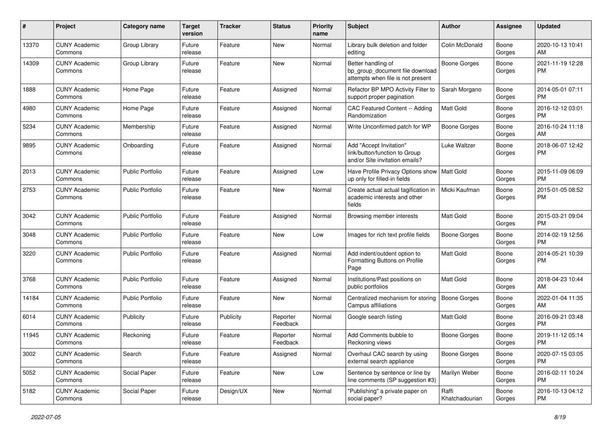| #     | Project                         | <b>Category name</b>    | <b>Target</b><br>version | <b>Tracker</b> | <b>Status</b>        | Priority<br>name | Subject                                                                                    | <b>Author</b>           | <b>Assignee</b> | <b>Updated</b>                |
|-------|---------------------------------|-------------------------|--------------------------|----------------|----------------------|------------------|--------------------------------------------------------------------------------------------|-------------------------|-----------------|-------------------------------|
| 13370 | <b>CUNY Academic</b><br>Commons | Group Library           | Future<br>release        | Feature        | <b>New</b>           | Normal           | Library bulk deletion and folder<br>editing                                                | Colin McDonald          | Boone<br>Gorges | 2020-10-13 10:41<br>AM.       |
| 14309 | <b>CUNY Academic</b><br>Commons | Group Library           | Future<br>release        | Feature        | New                  | Normal           | Better handling of<br>bp group document file download<br>attempts when file is not present | <b>Boone Gorges</b>     | Boone<br>Gorges | 2021-11-19 12:28<br><b>PM</b> |
| 1888  | <b>CUNY Academic</b><br>Commons | Home Page               | Future<br>release        | Feature        | Assigned             | Normal           | Refactor BP MPO Activity Filter to<br>support proper pagination                            | Sarah Morgano           | Boone<br>Gorges | 2014-05-01 07:11<br><b>PM</b> |
| 4980  | <b>CUNY Academic</b><br>Commons | Home Page               | Future<br>release        | Feature        | Assigned             | Normal           | CAC Featured Content -- Adding<br>Randomization                                            | Matt Gold               | Boone<br>Gorges | 2016-12-12 03:01<br><b>PM</b> |
| 5234  | <b>CUNY Academic</b><br>Commons | Membership              | Future<br>release        | Feature        | Assigned             | Normal           | Write Unconfirmed patch for WP                                                             | Boone Gorges            | Boone<br>Gorges | 2016-10-24 11:18<br>AM        |
| 9895  | <b>CUNY Academic</b><br>Commons | Onboarding              | Future<br>release        | Feature        | Assigned             | Normal           | Add "Accept Invitation"<br>link/button/function to Group<br>and/or Site invitation emails? | Luke Waltzer            | Boone<br>Gorges | 2018-06-07 12:42<br><b>PM</b> |
| 2013  | <b>CUNY Academic</b><br>Commons | <b>Public Portfolio</b> | Future<br>release        | Feature        | Assigned             | Low              | Have Profile Privacy Options show<br>up only for filled-in fields                          | Matt Gold               | Boone<br>Gorges | 2015-11-09 06:09<br><b>PM</b> |
| 2753  | <b>CUNY Academic</b><br>Commons | <b>Public Portfolio</b> | Future<br>release        | Feature        | New                  | Normal           | Create actual actual tagification in<br>academic interests and other<br>fields             | Micki Kaufman           | Boone<br>Gorges | 2015-01-05 08:52<br><b>PM</b> |
| 3042  | <b>CUNY Academic</b><br>Commons | <b>Public Portfolio</b> | Future<br>release        | Feature        | Assigned             | Normal           | Browsing member interests                                                                  | <b>Matt Gold</b>        | Boone<br>Gorges | 2015-03-21 09:04<br><b>PM</b> |
| 3048  | <b>CUNY Academic</b><br>Commons | <b>Public Portfolio</b> | Future<br>release        | Feature        | New                  | Low              | Images for rich text profile fields                                                        | <b>Boone Gorges</b>     | Boone<br>Gorges | 2014-02-19 12:56<br><b>PM</b> |
| 3220  | <b>CUNY Academic</b><br>Commons | Public Portfolio        | Future<br>release        | Feature        | Assigned             | Normal           | Add indent/outdent option to<br>Formatting Buttons on Profile<br>Page                      | <b>Matt Gold</b>        | Boone<br>Gorges | 2014-05-21 10:39<br>PM        |
| 3768  | <b>CUNY Academic</b><br>Commons | <b>Public Portfolio</b> | Future<br>release        | Feature        | Assigned             | Normal           | Institutions/Past positions on<br>public portfolios                                        | Matt Gold               | Boone<br>Gorges | 2018-04-23 10:44<br>AM.       |
| 14184 | <b>CUNY Academic</b><br>Commons | <b>Public Portfolio</b> | Future<br>release        | Feature        | New                  | Normal           | Centralized mechanism for storing<br>Campus affiliations                                   | <b>Boone Gorges</b>     | Boone<br>Gorges | 2022-01-04 11:35<br>AM        |
| 6014  | <b>CUNY Academic</b><br>Commons | Publicity               | Future<br>release        | Publicity      | Reporter<br>Feedback | Normal           | Google search listing                                                                      | Matt Gold               | Boone<br>Gorges | 2016-09-21 03:48<br><b>PM</b> |
| 11945 | <b>CUNY Academic</b><br>Commons | Reckoning               | Future<br>release        | Feature        | Reporter<br>Feedback | Normal           | Add Comments bubble to<br>Reckoning views                                                  | Boone Gorges            | Boone<br>Gorges | 2019-11-12 05:14<br><b>PM</b> |
| 3002  | <b>CUNY Academic</b><br>Commons | Search                  | Future<br>release        | Feature        | Assigned             | Normal           | Overhaul CAC search by using<br>external search appliance                                  | <b>Boone Gorges</b>     | Boone<br>Gorges | 2020-07-15 03:05<br>PM.       |
| 5052  | <b>CUNY Academic</b><br>Commons | Social Paper            | Future<br>release        | Feature        | New                  | Low              | Sentence by sentence or line by<br>line comments (SP suggestion #3)                        | Marilyn Weber           | Boone<br>Gorges | 2016-02-11 10:24<br><b>PM</b> |
| 5182  | <b>CUNY Academic</b><br>Commons | Social Paper            | Future<br>release        | Design/UX      | New                  | Normal           | "Publishing" a private paper on<br>social paper?                                           | Raffi<br>Khatchadourian | Boone<br>Gorges | 2016-10-13 04:12<br><b>PM</b> |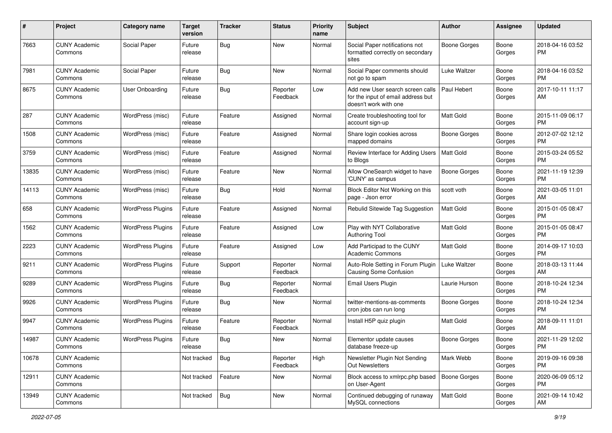| #     | Project                         | <b>Category name</b>     | <b>Target</b><br>version | <b>Tracker</b> | <b>Status</b>        | <b>Priority</b><br>name | <b>Subject</b>                                                                                  | <b>Author</b>       | <b>Assignee</b> | <b>Updated</b>                |
|-------|---------------------------------|--------------------------|--------------------------|----------------|----------------------|-------------------------|-------------------------------------------------------------------------------------------------|---------------------|-----------------|-------------------------------|
| 7663  | <b>CUNY Academic</b><br>Commons | Social Paper             | Future<br>release        | Bug            | <b>New</b>           | Normal                  | Social Paper notifications not<br>formatted correctly on secondary<br>sites                     | <b>Boone Gorges</b> | Boone<br>Gorges | 2018-04-16 03:52<br>PM.       |
| 7981  | <b>CUNY Academic</b><br>Commons | Social Paper             | Future<br>release        | Bug            | <b>New</b>           | Normal                  | Social Paper comments should<br>not go to spam                                                  | Luke Waltzer        | Boone<br>Gorges | 2018-04-16 03:52<br>PM.       |
| 8675  | <b>CUNY Academic</b><br>Commons | User Onboarding          | Future<br>release        | Bug            | Reporter<br>Feedback | Low                     | Add new User search screen calls<br>for the input of email address but<br>doesn't work with one | Paul Hebert         | Boone<br>Gorges | 2017-10-11 11:17<br>AM        |
| 287   | <b>CUNY Academic</b><br>Commons | WordPress (misc)         | Future<br>release        | Feature        | Assigned             | Normal                  | Create troubleshooting tool for<br>account sign-up                                              | <b>Matt Gold</b>    | Boone<br>Gorges | 2015-11-09 06:17<br>PM.       |
| 1508  | <b>CUNY Academic</b><br>Commons | WordPress (misc)         | Future<br>release        | Feature        | Assigned             | Normal                  | Share login cookies across<br>mapped domains                                                    | Boone Gorges        | Boone<br>Gorges | 2012-07-02 12:12<br>PM.       |
| 3759  | <b>CUNY Academic</b><br>Commons | WordPress (misc)         | Future<br>release        | Feature        | Assigned             | Normal                  | Review Interface for Adding Users<br>to Blogs                                                   | <b>Matt Gold</b>    | Boone<br>Gorges | 2015-03-24 05:52<br>PM.       |
| 13835 | <b>CUNY Academic</b><br>Commons | WordPress (misc)         | Future<br>release        | Feature        | New                  | Normal                  | Allow OneSearch widget to have<br>'CUNY' as campus                                              | Boone Gorges        | Boone<br>Gorges | 2021-11-19 12:39<br><b>PM</b> |
| 14113 | <b>CUNY Academic</b><br>Commons | WordPress (misc)         | Future<br>release        | Bug            | Hold                 | Normal                  | Block Editor Not Working on this<br>page - Json error                                           | scott voth          | Boone<br>Gorges | 2021-03-05 11:01<br>AM.       |
| 658   | <b>CUNY Academic</b><br>Commons | <b>WordPress Plugins</b> | Future<br>release        | Feature        | Assigned             | Normal                  | Rebulid Sitewide Tag Suggestion                                                                 | Matt Gold           | Boone<br>Gorges | 2015-01-05 08:47<br><b>PM</b> |
| 1562  | <b>CUNY Academic</b><br>Commons | <b>WordPress Plugins</b> | Future<br>release        | Feature        | Assigned             | Low                     | Play with NYT Collaborative<br><b>Authoring Tool</b>                                            | <b>Matt Gold</b>    | Boone<br>Gorges | 2015-01-05 08:47<br>PM.       |
| 2223  | <b>CUNY Academic</b><br>Commons | <b>WordPress Plugins</b> | Future<br>release        | Feature        | Assigned             | Low                     | Add Participad to the CUNY<br><b>Academic Commons</b>                                           | <b>Matt Gold</b>    | Boone<br>Gorges | 2014-09-17 10:03<br><b>PM</b> |
| 9211  | <b>CUNY Academic</b><br>Commons | <b>WordPress Plugins</b> | Future<br>release        | Support        | Reporter<br>Feedback | Normal                  | Auto-Role Setting in Forum Plugin<br>Causing Some Confusion                                     | Luke Waltzer        | Boone<br>Gorges | 2018-03-13 11:44<br>AM        |
| 9289  | <b>CUNY Academic</b><br>Commons | <b>WordPress Plugins</b> | Future<br>release        | Bug            | Reporter<br>Feedback | Normal                  | Email Users Plugin                                                                              | Laurie Hurson       | Boone<br>Gorges | 2018-10-24 12:34<br>PM.       |
| 9926  | <b>CUNY Academic</b><br>Commons | <b>WordPress Plugins</b> | Future<br>release        | <b>Bug</b>     | New                  | Normal                  | twitter-mentions-as-comments<br>cron jobs can run long                                          | <b>Boone Gorges</b> | Boone<br>Gorges | 2018-10-24 12:34<br><b>PM</b> |
| 9947  | <b>CUNY Academic</b><br>Commons | <b>WordPress Plugins</b> | Future<br>release        | Feature        | Reporter<br>Feedback | Normal                  | Install H5P quiz plugin                                                                         | Matt Gold           | Boone<br>Gorges | 2018-09-11 11:01<br>AM.       |
| 14987 | <b>CUNY Academic</b><br>Commons | <b>WordPress Plugins</b> | Future<br>release        | Bug            | New                  | Normal                  | Elementor update causes<br>database freeze-up                                                   | Boone Gorges        | Boone<br>Gorges | 2021-11-29 12:02<br>PM        |
| 10678 | <b>CUNY Academic</b><br>Commons |                          | Not tracked              | Bug            | Reporter<br>Feedback | High                    | Newsletter Plugin Not Sending<br>Out Newsletters                                                | Mark Webb           | Boone<br>Gorges | 2019-09-16 09:38<br>PM.       |
| 12911 | <b>CUNY Academic</b><br>Commons |                          | Not tracked              | Feature        | New                  | Normal                  | Block access to xmlrpc.php based<br>on User-Agent                                               | Boone Gorges        | Boone<br>Gorges | 2020-06-09 05:12<br><b>PM</b> |
| 13949 | <b>CUNY Academic</b><br>Commons |                          | Not tracked              | Bug            | New                  | Normal                  | Continued debugging of runaway<br>MySQL connections                                             | Matt Gold           | Boone<br>Gorges | 2021-09-14 10:42<br>AM        |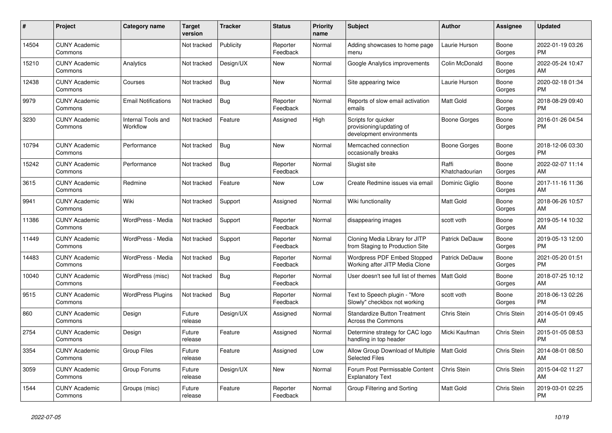| #     | Project                         | <b>Category name</b>           | Target<br>version | <b>Tracker</b> | <b>Status</b>        | Priority<br>name | <b>Subject</b>                                                              | <b>Author</b>           | Assignee        | <b>Updated</b>                |
|-------|---------------------------------|--------------------------------|-------------------|----------------|----------------------|------------------|-----------------------------------------------------------------------------|-------------------------|-----------------|-------------------------------|
| 14504 | <b>CUNY Academic</b><br>Commons |                                | Not tracked       | Publicity      | Reporter<br>Feedback | Normal           | Adding showcases to home page<br>menu                                       | Laurie Hurson           | Boone<br>Gorges | 2022-01-19 03:26<br>PM.       |
| 15210 | <b>CUNY Academic</b><br>Commons | Analytics                      | Not tracked       | Design/UX      | New                  | Normal           | Google Analytics improvements                                               | Colin McDonald          | Boone<br>Gorges | 2022-05-24 10:47<br>AM.       |
| 12438 | <b>CUNY Academic</b><br>Commons | Courses                        | Not tracked       | <b>Bug</b>     | <b>New</b>           | Normal           | Site appearing twice                                                        | Laurie Hurson           | Boone<br>Gorges | 2020-02-18 01:34<br><b>PM</b> |
| 9979  | <b>CUNY Academic</b><br>Commons | <b>Email Notifications</b>     | Not tracked       | <b>Bug</b>     | Reporter<br>Feedback | Normal           | Reports of slow email activation<br>emails                                  | Matt Gold               | Boone<br>Gorges | 2018-08-29 09:40<br><b>PM</b> |
| 3230  | <b>CUNY Academic</b><br>Commons | Internal Tools and<br>Workflow | Not tracked       | Feature        | Assigned             | High             | Scripts for quicker<br>provisioning/updating of<br>development environments | Boone Gorges            | Boone<br>Gorges | 2016-01-26 04:54<br><b>PM</b> |
| 10794 | <b>CUNY Academic</b><br>Commons | Performance                    | Not tracked       | <b>Bug</b>     | <b>New</b>           | Normal           | Memcached connection<br>occasionally breaks                                 | Boone Gorges            | Boone<br>Gorges | 2018-12-06 03:30<br>PM.       |
| 15242 | <b>CUNY Academic</b><br>Commons | Performance                    | Not tracked       | Bug            | Reporter<br>Feedback | Normal           | Slugist site                                                                | Raffi<br>Khatchadourian | Boone<br>Gorges | 2022-02-07 11:14<br>AM        |
| 3615  | <b>CUNY Academic</b><br>Commons | Redmine                        | Not tracked       | Feature        | New                  | Low              | Create Redmine issues via email                                             | Dominic Giglio          | Boone<br>Gorges | 2017-11-16 11:36<br>AM        |
| 9941  | <b>CUNY Academic</b><br>Commons | Wiki                           | Not tracked       | Support        | Assigned             | Normal           | Wiki functionality                                                          | <b>Matt Gold</b>        | Boone<br>Gorges | 2018-06-26 10:57<br>AM        |
| 11386 | <b>CUNY Academic</b><br>Commons | WordPress - Media              | Not tracked       | Support        | Reporter<br>Feedback | Normal           | disappearing images                                                         | scott voth              | Boone<br>Gorges | 2019-05-14 10:32<br>AM        |
| 11449 | <b>CUNY Academic</b><br>Commons | WordPress - Media              | Not tracked       | Support        | Reporter<br>Feedback | Normal           | Cloning Media Library for JITP<br>from Staging to Production Site           | Patrick DeDauw          | Boone<br>Gorges | 2019-05-13 12:00<br><b>PM</b> |
| 14483 | <b>CUNY Academic</b><br>Commons | WordPress - Media              | Not tracked       | Bug            | Reporter<br>Feedback | Normal           | Wordpress PDF Embed Stopped<br>Working after JITP Media Clone               | Patrick DeDauw          | Boone<br>Gorges | 2021-05-20 01:51<br><b>PM</b> |
| 10040 | <b>CUNY Academic</b><br>Commons | WordPress (misc)               | Not tracked       | <b>Bug</b>     | Reporter<br>Feedback | Normal           | User doesn't see full list of themes                                        | <b>Matt Gold</b>        | Boone<br>Gorges | 2018-07-25 10:12<br>AM        |
| 9515  | <b>CUNY Academic</b><br>Commons | <b>WordPress Plugins</b>       | Not tracked       | <b>Bug</b>     | Reporter<br>Feedback | Normal           | Text to Speech plugin - "More<br>Slowly" checkbox not working               | scott voth              | Boone<br>Gorges | 2018-06-13 02:26<br><b>PM</b> |
| 860   | <b>CUNY Academic</b><br>Commons | Design                         | Future<br>release | Design/UX      | Assigned             | Normal           | <b>Standardize Button Treatment</b><br>Across the Commons                   | Chris Stein             | Chris Stein     | 2014-05-01 09:45<br><b>AM</b> |
| 2754  | <b>CUNY Academic</b><br>Commons | Design                         | Future<br>release | Feature        | Assigned             | Normal           | Determine strategy for CAC logo<br>handling in top header                   | Micki Kaufman           | Chris Stein     | 2015-01-05 08:53<br><b>PM</b> |
| 3354  | <b>CUNY Academic</b><br>Commons | <b>Group Files</b>             | Future<br>release | Feature        | Assigned             | Low              | Allow Group Download of Multiple<br><b>Selected Files</b>                   | <b>Matt Gold</b>        | Chris Stein     | 2014-08-01 08:50<br>AM        |
| 3059  | <b>CUNY Academic</b><br>Commons | Group Forums                   | Future<br>release | Design/UX      | New                  | Normal           | Forum Post Permissable Content<br><b>Explanatory Text</b>                   | Chris Stein             | Chris Stein     | 2015-04-02 11:27<br>AM        |
| 1544  | <b>CUNY Academic</b><br>Commons | Groups (misc)                  | Future<br>release | Feature        | Reporter<br>Feedback | Normal           | Group Filtering and Sorting                                                 | <b>Matt Gold</b>        | Chris Stein     | 2019-03-01 02:25<br><b>PM</b> |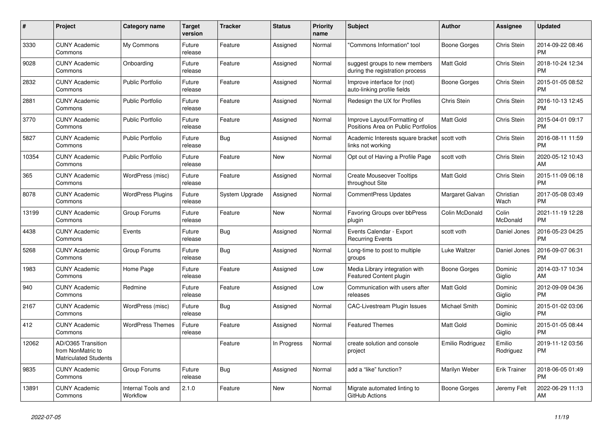| #     | Project                                                                 | <b>Category name</b>           | <b>Target</b><br>version | <b>Tracker</b> | <b>Status</b> | <b>Priority</b><br>name | <b>Subject</b>                                                      | <b>Author</b>    | Assignee            | <b>Updated</b>                |
|-------|-------------------------------------------------------------------------|--------------------------------|--------------------------|----------------|---------------|-------------------------|---------------------------------------------------------------------|------------------|---------------------|-------------------------------|
| 3330  | <b>CUNY Academic</b><br>Commons                                         | My Commons                     | Future<br>release        | Feature        | Assigned      | Normal                  | "Commons Information" tool                                          | Boone Gorges     | Chris Stein         | 2014-09-22 08:46<br><b>PM</b> |
| 9028  | <b>CUNY Academic</b><br>Commons                                         | Onboarding                     | Future<br>release        | Feature        | Assigned      | Normal                  | suggest groups to new members<br>during the registration process    | <b>Matt Gold</b> | Chris Stein         | 2018-10-24 12:34<br><b>PM</b> |
| 2832  | <b>CUNY Academic</b><br>Commons                                         | <b>Public Portfolio</b>        | Future<br>release        | Feature        | Assigned      | Normal                  | Improve interface for (not)<br>auto-linking profile fields          | Boone Gorges     | Chris Stein         | 2015-01-05 08:52<br><b>PM</b> |
| 2881  | <b>CUNY Academic</b><br>Commons                                         | <b>Public Portfolio</b>        | Future<br>release        | Feature        | Assigned      | Normal                  | Redesign the UX for Profiles                                        | Chris Stein      | Chris Stein         | 2016-10-13 12:45<br><b>PM</b> |
| 3770  | <b>CUNY Academic</b><br>Commons                                         | <b>Public Portfolio</b>        | Future<br>release        | Feature        | Assigned      | Normal                  | Improve Layout/Formatting of<br>Positions Area on Public Portfolios | Matt Gold        | Chris Stein         | 2015-04-01 09:17<br><b>PM</b> |
| 5827  | <b>CUNY Academic</b><br>Commons                                         | <b>Public Portfolio</b>        | Future<br>release        | Bug            | Assigned      | Normal                  | Academic Interests square bracket<br>links not working              | scott voth       | Chris Stein         | 2016-08-11 11:59<br><b>PM</b> |
| 10354 | <b>CUNY Academic</b><br>Commons                                         | <b>Public Portfolio</b>        | Future<br>release        | Feature        | <b>New</b>    | Normal                  | Opt out of Having a Profile Page                                    | scott voth       | Chris Stein         | 2020-05-12 10:43<br>AM        |
| 365   | <b>CUNY Academic</b><br>Commons                                         | WordPress (misc)               | Future<br>release        | Feature        | Assigned      | Normal                  | <b>Create Mouseover Tooltips</b><br>throughout Site                 | <b>Matt Gold</b> | Chris Stein         | 2015-11-09 06:18<br><b>PM</b> |
| 8078  | <b>CUNY Academic</b><br>Commons                                         | <b>WordPress Plugins</b>       | Future<br>release        | System Upgrade | Assigned      | Normal                  | CommentPress Updates                                                | Margaret Galvan  | Christian<br>Wach   | 2017-05-08 03:49<br><b>PM</b> |
| 13199 | <b>CUNY Academic</b><br>Commons                                         | Group Forums                   | Future<br>release        | Feature        | <b>New</b>    | Normal                  | Favoring Groups over bbPress<br>plugin                              | Colin McDonald   | Colin<br>McDonald   | 2021-11-19 12:28<br><b>PM</b> |
| 4438  | <b>CUNY Academic</b><br>Commons                                         | Events                         | Future<br>release        | Bug            | Assigned      | Normal                  | Events Calendar - Export<br><b>Recurring Events</b>                 | scott voth       | Daniel Jones        | 2016-05-23 04:25<br><b>PM</b> |
| 5268  | <b>CUNY Academic</b><br>Commons                                         | Group Forums                   | Future<br>release        | Bug            | Assigned      | Normal                  | Long-time to post to multiple<br>groups                             | Luke Waltzer     | Daniel Jones        | 2016-09-07 06:31<br><b>PM</b> |
| 1983  | <b>CUNY Academic</b><br>Commons                                         | Home Page                      | Future<br>release        | Feature        | Assigned      | Low                     | Media Library integration with<br><b>Featured Content plugin</b>    | Boone Gorges     | Dominic<br>Giglio   | 2014-03-17 10:34<br>AM        |
| 940   | <b>CUNY Academic</b><br>Commons                                         | Redmine                        | Future<br>release        | Feature        | Assigned      | Low                     | Communication with users after<br>releases                          | <b>Matt Gold</b> | Dominic<br>Giglio   | 2012-09-09 04:36<br><b>PM</b> |
| 2167  | <b>CUNY Academic</b><br>Commons                                         | WordPress (misc)               | Future<br>release        | Bug            | Assigned      | Normal                  | CAC-Livestream Plugin Issues                                        | Michael Smith    | Dominic<br>Giglio   | 2015-01-02 03:06<br><b>PM</b> |
| 412   | <b>CUNY Academic</b><br>Commons                                         | <b>WordPress Themes</b>        | Future<br>release        | Feature        | Assigned      | Normal                  | <b>Featured Themes</b>                                              | <b>Matt Gold</b> | Dominic<br>Giglio   | 2015-01-05 08:44<br><b>PM</b> |
| 12062 | AD/O365 Transition<br>from NonMatric to<br><b>Matriculated Students</b> |                                |                          | Feature        | In Progress   | Normal                  | create solution and console<br>project                              | Emilio Rodriguez | Emilio<br>Rodriguez | 2019-11-12 03:56<br><b>PM</b> |
| 9835  | <b>CUNY Academic</b><br>Commons                                         | Group Forums                   | Future<br>release        | Bug            | Assigned      | Normal                  | add a "like" function?                                              | Marilyn Weber    | <b>Erik Trainer</b> | 2018-06-05 01:49<br><b>PM</b> |
| 13891 | <b>CUNY Academic</b><br>Commons                                         | Internal Tools and<br>Workflow | 2.1.0                    | Feature        | <b>New</b>    | Normal                  | Migrate automated linting to<br>GitHub Actions                      | Boone Gorges     | Jeremy Felt         | 2022-06-29 11:13<br>AM        |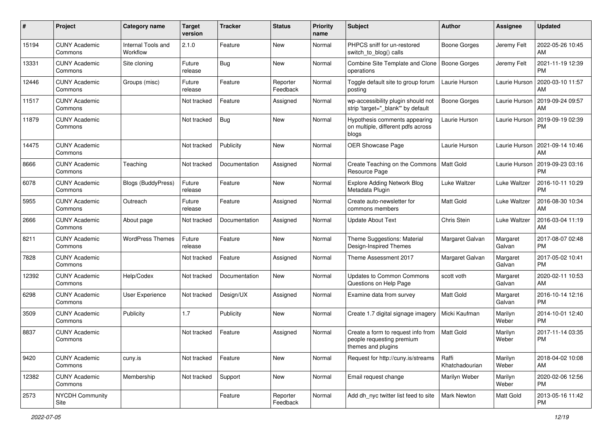| #     | Project                         | <b>Category name</b>           | <b>Target</b><br>version | Tracker       | <b>Status</b>        | <b>Priority</b><br>name | <b>Subject</b>                                                                        | <b>Author</b>             | <b>Assignee</b>    | <b>Updated</b>                |
|-------|---------------------------------|--------------------------------|--------------------------|---------------|----------------------|-------------------------|---------------------------------------------------------------------------------------|---------------------------|--------------------|-------------------------------|
| 15194 | <b>CUNY Academic</b><br>Commons | Internal Tools and<br>Workflow | 2.1.0                    | Feature       | New                  | Normal                  | PHPCS sniff for un-restored<br>switch to blog() calls                                 | Boone Gorges              | Jeremy Felt        | 2022-05-26 10:45<br>AM        |
| 13331 | <b>CUNY Academic</b><br>Commons | Site cloning                   | Future<br>release        | Bug           | New                  | Normal                  | Combine Site Template and Clone<br>operations                                         | Boone Gorges              | Jeremy Felt        | 2021-11-19 12:39<br><b>PM</b> |
| 12446 | <b>CUNY Academic</b><br>Commons | Groups (misc)                  | Future<br>release        | Feature       | Reporter<br>Feedback | Normal                  | Toggle default site to group forum<br>posting                                         | Laurie Hurson             | Laurie Hurson      | 2020-03-10 11:57<br>AM        |
| 11517 | <b>CUNY Academic</b><br>Commons |                                | Not tracked              | Feature       | Assigned             | Normal                  | wp-accessibility plugin should not<br>strip 'target=" blank" by default               | <b>Boone Gorges</b>       | Laurie Hurson      | 2019-09-24 09:57<br>AM        |
| 11879 | <b>CUNY Academic</b><br>Commons |                                | Not tracked              | Bug           | New                  | Normal                  | Hypothesis comments appearing<br>on multiple, different pdfs across<br>blogs          | Laurie Hurson             | Laurie Hurson      | 2019-09-19 02:39<br><b>PM</b> |
| 14475 | <b>CUNY Academic</b><br>Commons |                                | Not tracked              | Publicity     | <b>New</b>           | Normal                  | <b>OER Showcase Page</b>                                                              | Laurie Hurson             | Laurie Hurson      | 2021-09-14 10:46<br>AM        |
| 8666  | <b>CUNY Academic</b><br>Commons | Teaching                       | Not tracked              | Documentation | Assigned             | Normal                  | Create Teaching on the Commons<br>Resource Page                                       | Matt Gold                 | Laurie Hurson      | 2019-09-23 03:16<br><b>PM</b> |
| 6078  | <b>CUNY Academic</b><br>Commons | Blogs (BuddyPress)             | Future<br>release        | Feature       | New                  | Normal                  | Explore Adding Network Blog<br>Metadata Plugin                                        | Luke Waltzer              | Luke Waltzer       | 2016-10-11 10:29<br><b>PM</b> |
| 5955  | <b>CUNY Academic</b><br>Commons | Outreach                       | Future<br>release        | Feature       | Assigned             | Normal                  | Create auto-newsletter for<br>commons members                                         | <b>Matt Gold</b>          | Luke Waltzer       | 2016-08-30 10:34<br>AM.       |
| 2666  | <b>CUNY Academic</b><br>Commons | About page                     | Not tracked              | Documentation | Assigned             | Normal                  | <b>Update About Text</b>                                                              | Chris Stein               | Luke Waltzer       | 2016-03-04 11:19<br>AM        |
| 8211  | <b>CUNY Academic</b><br>Commons | <b>WordPress Themes</b>        | Future<br>release        | Feature       | New                  | Normal                  | Theme Suggestions: Material<br>Design-Inspired Themes                                 | Margaret Galvan           | Margaret<br>Galvan | 2017-08-07 02:48<br><b>PM</b> |
| 7828  | <b>CUNY Academic</b><br>Commons |                                | Not tracked              | Feature       | Assigned             | Normal                  | Theme Assessment 2017                                                                 | Margaret Galvan           | Margaret<br>Galvan | 2017-05-02 10:41<br><b>PM</b> |
| 12392 | <b>CUNY Academic</b><br>Commons | Help/Codex                     | Not tracked              | Documentation | New                  | Normal                  | <b>Updates to Common Commons</b><br>Questions on Help Page                            | scott voth                | Margaret<br>Galvan | 2020-02-11 10:53<br>AM        |
| 6298  | <b>CUNY Academic</b><br>Commons | User Experience                | Not tracked              | Design/UX     | Assigned             | Normal                  | Examine data from survey                                                              | <b>Matt Gold</b>          | Margaret<br>Galvan | 2016-10-14 12:16<br><b>PM</b> |
| 3509  | <b>CUNY Academic</b><br>Commons | Publicity                      | 1.7                      | Publicity     | New                  | Normal                  | Create 1.7 digital signage imagery                                                    | Micki Kaufman             | Marilyn<br>Weber   | 2014-10-01 12:40<br><b>PM</b> |
| 8837  | <b>CUNY Academic</b><br>Commons |                                | Not tracked              | Feature       | Assigned             | Normal                  | Create a form to request info from<br>people requesting premium<br>themes and plugins | <b>Matt Gold</b>          | Marilyn<br>Weber   | 2017-11-14 03:35<br><b>PM</b> |
| 9420  | <b>CUNY Academic</b><br>Commons | cuny.is                        | Not tracked              | Feature       | New                  | Normal                  | Request for http://cuny.is/streams                                                    | l Raffi<br>Khatchadourian | Marilyn<br>Weber   | 2018-04-02 10:08<br>AM        |
| 12382 | <b>CUNY Academic</b><br>Commons | Membership                     | Not tracked              | Support       | New                  | Normal                  | Email request change                                                                  | Marilyn Weber             | Marilyn<br>Weber   | 2020-02-06 12:56<br><b>PM</b> |
| 2573  | NYCDH Community<br>Site         |                                |                          | Feature       | Reporter<br>Feedback | Normal                  | Add dh_nyc twitter list feed to site                                                  | Mark Newton               | Matt Gold          | 2013-05-16 11:42<br><b>PM</b> |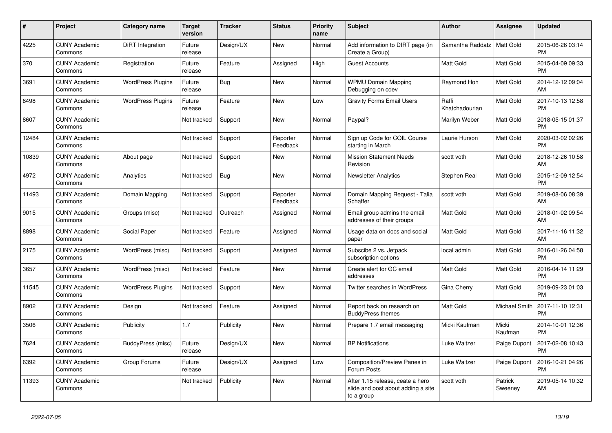| #     | <b>Project</b>                  | Category name            | <b>Target</b><br>version | <b>Tracker</b> | <b>Status</b>        | <b>Priority</b><br>name | <b>Subject</b>                                                                       | <b>Author</b>           | Assignee           | <b>Updated</b>                |
|-------|---------------------------------|--------------------------|--------------------------|----------------|----------------------|-------------------------|--------------------------------------------------------------------------------------|-------------------------|--------------------|-------------------------------|
| 4225  | <b>CUNY Academic</b><br>Commons | DiRT Integration         | Future<br>release        | Design/UX      | New                  | Normal                  | Add information to DIRT page (in<br>Create a Group)                                  | Samantha Raddatz        | <b>Matt Gold</b>   | 2015-06-26 03:14<br><b>PM</b> |
| 370   | <b>CUNY Academic</b><br>Commons | Registration             | Future<br>release        | Feature        | Assigned             | High                    | <b>Guest Accounts</b>                                                                | Matt Gold               | Matt Gold          | 2015-04-09 09:33<br><b>PM</b> |
| 3691  | <b>CUNY Academic</b><br>Commons | <b>WordPress Plugins</b> | Future<br>release        | Bug            | New                  | Normal                  | <b>WPMU Domain Mapping</b><br>Debugging on cdev                                      | Raymond Hoh             | Matt Gold          | 2014-12-12 09:04<br>AM        |
| 8498  | <b>CUNY Academic</b><br>Commons | <b>WordPress Plugins</b> | Future<br>release        | Feature        | <b>New</b>           | Low                     | <b>Gravity Forms Email Users</b>                                                     | Raffi<br>Khatchadourian | Matt Gold          | 2017-10-13 12:58<br><b>PM</b> |
| 8607  | <b>CUNY Academic</b><br>Commons |                          | Not tracked              | Support        | <b>New</b>           | Normal                  | Paypal?                                                                              | Marilyn Weber           | Matt Gold          | 2018-05-15 01:37<br><b>PM</b> |
| 12484 | <b>CUNY Academic</b><br>Commons |                          | Not tracked              | Support        | Reporter<br>Feedback | Normal                  | Sign up Code for COIL Course<br>starting in March                                    | Laurie Hurson           | Matt Gold          | 2020-03-02 02:26<br><b>PM</b> |
| 10839 | <b>CUNY Academic</b><br>Commons | About page               | Not tracked              | Support        | <b>New</b>           | Normal                  | <b>Mission Statement Needs</b><br>Revision                                           | scott voth              | <b>Matt Gold</b>   | 2018-12-26 10:58<br>AM        |
| 4972  | <b>CUNY Academic</b><br>Commons | Analytics                | Not tracked              | Bug            | New                  | Normal                  | <b>Newsletter Analytics</b>                                                          | Stephen Real            | Matt Gold          | 2015-12-09 12:54<br><b>PM</b> |
| 11493 | <b>CUNY Academic</b><br>Commons | Domain Mapping           | Not tracked              | Support        | Reporter<br>Feedback | Normal                  | Domain Mapping Request - Talia<br>Schaffer                                           | scott voth              | Matt Gold          | 2019-08-06 08:39<br>AM        |
| 9015  | <b>CUNY Academic</b><br>Commons | Groups (misc)            | Not tracked              | Outreach       | Assigned             | Normal                  | Email group admins the email<br>addresses of their groups                            | <b>Matt Gold</b>        | Matt Gold          | 2018-01-02 09:54<br>AM        |
| 8898  | <b>CUNY Academic</b><br>Commons | Social Paper             | Not tracked              | Feature        | Assigned             | Normal                  | Usage data on docs and social<br>paper                                               | Matt Gold               | Matt Gold          | 2017-11-16 11:32<br>AM        |
| 2175  | <b>CUNY Academic</b><br>Commons | WordPress (misc)         | Not tracked              | Support        | Assigned             | Normal                  | Subscibe 2 vs. Jetpack<br>subscription options                                       | local admin             | Matt Gold          | 2016-01-26 04:58<br><b>PM</b> |
| 3657  | <b>CUNY Academic</b><br>Commons | WordPress (misc)         | Not tracked              | Feature        | <b>New</b>           | Normal                  | Create alert for GC email<br>addresses                                               | <b>Matt Gold</b>        | Matt Gold          | 2016-04-14 11:29<br><b>PM</b> |
| 11545 | <b>CUNY Academic</b><br>Commons | <b>WordPress Plugins</b> | Not tracked              | Support        | <b>New</b>           | Normal                  | Twitter searches in WordPress                                                        | Gina Cherry             | Matt Gold          | 2019-09-23 01:03<br><b>PM</b> |
| 8902  | <b>CUNY Academic</b><br>Commons | Design                   | Not tracked              | Feature        | Assigned             | Normal                  | Report back on research on<br><b>BuddyPress themes</b>                               | Matt Gold               | Michael Smith      | 2017-11-10 12:31<br><b>PM</b> |
| 3506  | <b>CUNY Academic</b><br>Commons | Publicity                | 1.7                      | Publicity      | <b>New</b>           | Normal                  | Prepare 1.7 email messaging                                                          | Micki Kaufman           | Micki<br>Kaufman   | 2014-10-01 12:36<br><b>PM</b> |
| 7624  | <b>CUNY Academic</b><br>Commons | BuddyPress (misc)        | Future<br>release        | Design/UX      | <b>New</b>           | Normal                  | <b>BP Notifications</b>                                                              | Luke Waltzer            | Paige Dupont       | 2017-02-08 10:43<br><b>PM</b> |
| 6392  | <b>CUNY Academic</b><br>Commons | Group Forums             | Future<br>release        | Design/UX      | Assigned             | Low                     | Composition/Preview Panes in<br>Forum Posts                                          | Luke Waltzer            | Paige Dupont       | 2016-10-21 04:26<br><b>PM</b> |
| 11393 | <b>CUNY Academic</b><br>Commons |                          | Not tracked              | Publicity      | New                  | Normal                  | After 1.15 release, ceate a hero<br>slide and post about adding a site<br>to a group | scott voth              | Patrick<br>Sweeney | 2019-05-14 10:32<br>AM        |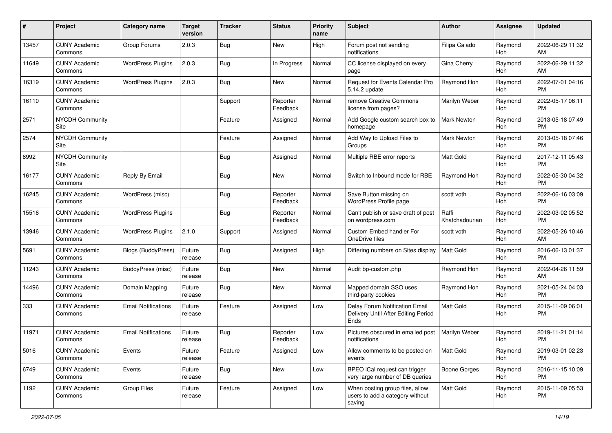| #     | Project                         | <b>Category name</b>       | <b>Target</b><br>version | <b>Tracker</b> | <b>Status</b>        | Priority<br>name | Subject                                                                       | Author                  | <b>Assignee</b> | <b>Updated</b>                |
|-------|---------------------------------|----------------------------|--------------------------|----------------|----------------------|------------------|-------------------------------------------------------------------------------|-------------------------|-----------------|-------------------------------|
| 13457 | <b>CUNY Academic</b><br>Commons | Group Forums               | 2.0.3                    | Bug            | <b>New</b>           | High             | Forum post not sending<br>notifications                                       | Filipa Calado           | Raymond<br>Hoh  | 2022-06-29 11:32<br>AM        |
| 11649 | <b>CUNY Academic</b><br>Commons | <b>WordPress Plugins</b>   | 2.0.3                    | <b>Bug</b>     | In Progress          | Normal           | CC license displayed on every<br>page                                         | Gina Cherry             | Raymond<br>Hoh  | 2022-06-29 11:32<br>AM        |
| 16319 | <b>CUNY Academic</b><br>Commons | <b>WordPress Plugins</b>   | 2.0.3                    | <b>Bug</b>     | New                  | Normal           | Request for Events Calendar Pro<br>5.14.2 update                              | Raymond Hoh             | Raymond<br>Hoh  | 2022-07-01 04:16<br><b>PM</b> |
| 16110 | <b>CUNY Academic</b><br>Commons |                            |                          | Support        | Reporter<br>Feedback | Normal           | remove Creative Commons<br>license from pages?                                | Marilyn Weber           | Raymond<br>Hoh  | 2022-05-17 06:11<br><b>PM</b> |
| 2571  | <b>NYCDH Community</b><br>Site  |                            |                          | Feature        | Assigned             | Normal           | Add Google custom search box to<br>homepage                                   | <b>Mark Newton</b>      | Raymond<br>Hoh  | 2013-05-18 07:49<br><b>PM</b> |
| 2574  | NYCDH Community<br>Site         |                            |                          | Feature        | Assigned             | Normal           | Add Way to Upload Files to<br>Groups                                          | Mark Newton             | Raymond<br>Hoh  | 2013-05-18 07:46<br><b>PM</b> |
| 8992  | <b>NYCDH Community</b><br>Site  |                            |                          | Bug            | Assigned             | Normal           | Multiple RBE error reports                                                    | <b>Matt Gold</b>        | Raymond<br>Hoh  | 2017-12-11 05:43<br><b>PM</b> |
| 16177 | <b>CUNY Academic</b><br>Commons | Reply By Email             |                          | Bug            | <b>New</b>           | Normal           | Switch to Inbound mode for RBE                                                | Raymond Hoh             | Raymond<br>Hoh  | 2022-05-30 04:32<br><b>PM</b> |
| 16245 | <b>CUNY Academic</b><br>Commons | WordPress (misc)           |                          | <b>Bug</b>     | Reporter<br>Feedback | Normal           | Save Button missing on<br>WordPress Profile page                              | scott voth              | Raymond<br>Hoh  | 2022-06-16 03:09<br><b>PM</b> |
| 15516 | <b>CUNY Academic</b><br>Commons | <b>WordPress Plugins</b>   |                          | <b>Bug</b>     | Reporter<br>Feedback | Normal           | Can't publish or save draft of post<br>on wordpress.com                       | Raffi<br>Khatchadourian | Raymond<br>Hoh  | 2022-03-02 05:52<br><b>PM</b> |
| 13946 | <b>CUNY Academic</b><br>Commons | <b>WordPress Plugins</b>   | 2.1.0                    | Support        | Assigned             | Normal           | Custom Embed handler For<br>OneDrive files                                    | scott voth              | Raymond<br>Hoh  | 2022-05-26 10:46<br>AM        |
| 5691  | <b>CUNY Academic</b><br>Commons | Blogs (BuddyPress)         | Future<br>release        | Bug            | Assigned             | High             | Differing numbers on Sites display                                            | <b>Matt Gold</b>        | Raymond<br>Hoh  | 2016-06-13 01:37<br><b>PM</b> |
| 11243 | <b>CUNY Academic</b><br>Commons | BuddyPress (misc)          | Future<br>release        | <b>Bug</b>     | New                  | Normal           | Audit bp-custom.php                                                           | Raymond Hoh             | Raymond<br>Hoh  | 2022-04-26 11:59<br>AM        |
| 14496 | <b>CUNY Academic</b><br>Commons | Domain Mapping             | Future<br>release        | Bug            | <b>New</b>           | Normal           | Mapped domain SSO uses<br>third-party cookies                                 | Raymond Hoh             | Raymond<br>Hoh  | 2021-05-24 04:03<br><b>PM</b> |
| 333   | <b>CUNY Academic</b><br>Commons | <b>Email Notifications</b> | Future<br>release        | Feature        | Assigned             | Low              | Delay Forum Notification Email<br>Delivery Until After Editing Period<br>Ends | <b>Matt Gold</b>        | Raymond<br>Hoh  | 2015-11-09 06:01<br><b>PM</b> |
| 11971 | <b>CUNY Academic</b><br>Commons | <b>Email Notifications</b> | Future<br>release        | Bug            | Reporter<br>Feedback | Low              | Pictures obscured in emailed post<br>notifications                            | Marilyn Weber           | Raymond<br>Hoh  | 2019-11-21 01:14<br><b>PM</b> |
| 5016  | <b>CUNY Academic</b><br>Commons | Events                     | Future<br>release        | Feature        | Assigned             | Low              | Allow comments to be posted on<br>events                                      | Matt Gold               | Raymond<br>Hoh  | 2019-03-01 02:23<br>PM        |
| 6749  | <b>CUNY Academic</b><br>Commons | Events                     | Future<br>release        | Bug            | New                  | Low              | BPEO iCal request can trigger<br>very large number of DB queries              | Boone Gorges            | Raymond<br>Hoh  | 2016-11-15 10:09<br><b>PM</b> |
| 1192  | <b>CUNY Academic</b><br>Commons | Group Files                | Future<br>release        | Feature        | Assigned             | Low              | When posting group files, allow<br>users to add a category without<br>saving  | Matt Gold               | Raymond<br>Hoh  | 2015-11-09 05:53<br><b>PM</b> |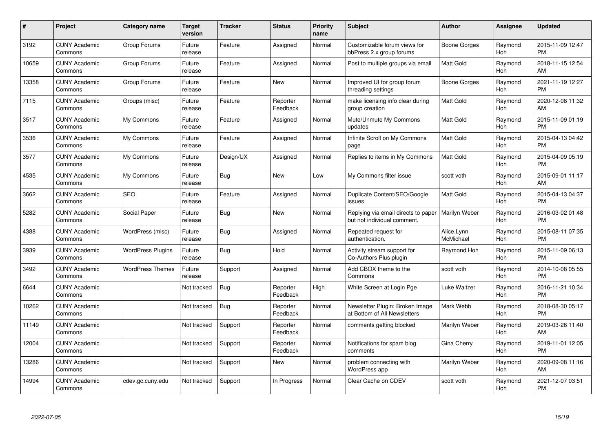| #     | Project                         | <b>Category name</b>     | <b>Target</b><br>version | <b>Tracker</b> | <b>Status</b>        | <b>Priority</b><br>name | <b>Subject</b>                                                     | <b>Author</b>           | Assignee       | <b>Updated</b>                |
|-------|---------------------------------|--------------------------|--------------------------|----------------|----------------------|-------------------------|--------------------------------------------------------------------|-------------------------|----------------|-------------------------------|
| 3192  | <b>CUNY Academic</b><br>Commons | Group Forums             | Future<br>release        | Feature        | Assigned             | Normal                  | Customizable forum views for<br>bbPress 2.x group forums           | Boone Gorges            | Raymond<br>Hoh | 2015-11-09 12:47<br><b>PM</b> |
| 10659 | <b>CUNY Academic</b><br>Commons | Group Forums             | Future<br>release        | Feature        | Assigned             | Normal                  | Post to multiple groups via email                                  | Matt Gold               | Raymond<br>Hoh | 2018-11-15 12:54<br>AM        |
| 13358 | <b>CUNY Academic</b><br>Commons | Group Forums             | Future<br>release        | Feature        | <b>New</b>           | Normal                  | Improved UI for group forum<br>threading settings                  | Boone Gorges            | Raymond<br>Hoh | 2021-11-19 12:27<br><b>PM</b> |
| 7115  | <b>CUNY Academic</b><br>Commons | Groups (misc)            | Future<br>release        | Feature        | Reporter<br>Feedback | Normal                  | make licensing info clear during<br>group creation                 | <b>Matt Gold</b>        | Raymond<br>Hoh | 2020-12-08 11:32<br>AM        |
| 3517  | <b>CUNY Academic</b><br>Commons | My Commons               | Future<br>release        | Feature        | Assigned             | Normal                  | Mute/Unmute My Commons<br>updates                                  | <b>Matt Gold</b>        | Raymond<br>Hoh | 2015-11-09 01:19<br><b>PM</b> |
| 3536  | <b>CUNY Academic</b><br>Commons | My Commons               | Future<br>release        | Feature        | Assigned             | Normal                  | Infinite Scroll on My Commons<br>page                              | <b>Matt Gold</b>        | Raymond<br>Hoh | 2015-04-13 04:42<br><b>PM</b> |
| 3577  | <b>CUNY Academic</b><br>Commons | My Commons               | Future<br>release        | Design/UX      | Assigned             | Normal                  | Replies to items in My Commons                                     | <b>Matt Gold</b>        | Raymond<br>Hoh | 2015-04-09 05:19<br><b>PM</b> |
| 4535  | <b>CUNY Academic</b><br>Commons | My Commons               | Future<br>release        | Bug            | <b>New</b>           | Low                     | My Commons filter issue                                            | scott voth              | Raymond<br>Hoh | 2015-09-01 11:17<br>AM        |
| 3662  | <b>CUNY Academic</b><br>Commons | <b>SEO</b>               | Future<br>release        | Feature        | Assigned             | Normal                  | Duplicate Content/SEO/Google<br>issues                             | <b>Matt Gold</b>        | Raymond<br>Hoh | 2015-04-13 04:37<br><b>PM</b> |
| 5282  | <b>CUNY Academic</b><br>Commons | Social Paper             | Future<br>release        | <b>Bug</b>     | <b>New</b>           | Normal                  | Replying via email directs to paper<br>but not individual comment. | Marilyn Weber           | Raymond<br>Hoh | 2016-03-02 01:48<br><b>PM</b> |
| 4388  | <b>CUNY Academic</b><br>Commons | WordPress (misc)         | Future<br>release        | Bug            | Assigned             | Normal                  | Repeated request for<br>authentication.                            | Alice.Lynn<br>McMichael | Raymond<br>Hoh | 2015-08-11 07:35<br><b>PM</b> |
| 3939  | <b>CUNY Academic</b><br>Commons | <b>WordPress Plugins</b> | Future<br>release        | Bug            | Hold                 | Normal                  | Activity stream support for<br>Co-Authors Plus plugin              | Raymond Hoh             | Raymond<br>Hoh | 2015-11-09 06:13<br><b>PM</b> |
| 3492  | <b>CUNY Academic</b><br>Commons | <b>WordPress Themes</b>  | Future<br>release        | Support        | Assigned             | Normal                  | Add CBOX theme to the<br>Commons                                   | scott voth              | Raymond<br>Hoh | 2014-10-08 05:55<br><b>PM</b> |
| 6644  | <b>CUNY Academic</b><br>Commons |                          | Not tracked              | <b>Bug</b>     | Reporter<br>Feedback | High                    | White Screen at Login Pge                                          | Luke Waltzer            | Raymond<br>Hoh | 2016-11-21 10:34<br><b>PM</b> |
| 10262 | <b>CUNY Academic</b><br>Commons |                          | Not tracked              | Bug            | Reporter<br>Feedback | Normal                  | Newsletter Plugin: Broken Image<br>at Bottom of All Newsletters    | Mark Webb               | Raymond<br>Hoh | 2018-08-30 05:17<br><b>PM</b> |
| 11149 | <b>CUNY Academic</b><br>Commons |                          | Not tracked              | Support        | Reporter<br>Feedback | Normal                  | comments getting blocked                                           | Marilyn Weber           | Raymond<br>Hoh | 2019-03-26 11:40<br>AM        |
| 12004 | <b>CUNY Academic</b><br>Commons |                          | Not tracked              | Support        | Reporter<br>Feedback | Normal                  | Notifications for spam blog<br>comments                            | Gina Cherry             | Raymond<br>Hoh | 2019-11-01 12:05<br><b>PM</b> |
| 13286 | <b>CUNY Academic</b><br>Commons |                          | Not tracked              | Support        | <b>New</b>           | Normal                  | problem connecting with<br>WordPress app                           | Marilyn Weber           | Raymond<br>Hoh | 2020-09-08 11:16<br>AM        |
| 14994 | CUNY Academic<br>Commons        | cdev.gc.cuny.edu         | Not tracked              | Support        | In Progress          | Normal                  | Clear Cache on CDEV                                                | scott voth              | Raymond<br>Hoh | 2021-12-07 03:51<br><b>PM</b> |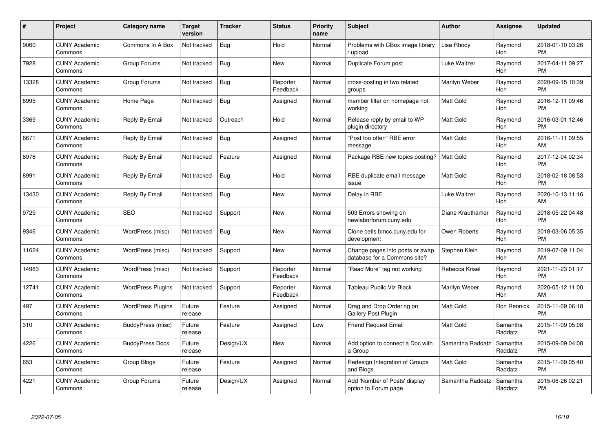| #     | Project                         | <b>Category name</b>     | Target<br>version | <b>Tracker</b> | <b>Status</b>        | Priority<br>name | <b>Subject</b>                                                  | <b>Author</b>    | <b>Assignee</b>     | <b>Updated</b>                |
|-------|---------------------------------|--------------------------|-------------------|----------------|----------------------|------------------|-----------------------------------------------------------------|------------------|---------------------|-------------------------------|
| 9060  | <b>CUNY Academic</b><br>Commons | Commons In A Box         | Not tracked       | <b>Bug</b>     | Hold                 | Normal           | Problems with CBox image library<br>/ upload                    | Lisa Rhody       | Raymond<br>Hoh      | 2018-01-10 03:26<br><b>PM</b> |
| 7928  | <b>CUNY Academic</b><br>Commons | Group Forums             | Not tracked       | Bug            | <b>New</b>           | Normal           | Duplicate Forum post                                            | Luke Waltzer     | Raymond<br>Hoh      | 2017-04-11 09:27<br><b>PM</b> |
| 13328 | <b>CUNY Academic</b><br>Commons | Group Forums             | Not tracked       | Bug            | Reporter<br>Feedback | Normal           | cross-posting in two related<br>groups                          | Marilyn Weber    | Raymond<br>Hoh      | 2020-09-15 10:39<br><b>PM</b> |
| 6995  | <b>CUNY Academic</b><br>Commons | Home Page                | Not tracked       | <b>Bug</b>     | Assigned             | Normal           | member filter on homepage not<br>workina                        | <b>Matt Gold</b> | Raymond<br>Hoh      | 2016-12-11 09:46<br><b>PM</b> |
| 3369  | <b>CUNY Academic</b><br>Commons | Reply By Email           | Not tracked       | Outreach       | Hold                 | Normal           | Release reply by email to WP<br>plugin directory                | Matt Gold        | Raymond<br>Hoh      | 2016-03-01 12:46<br><b>PM</b> |
| 6671  | <b>CUNY Academic</b><br>Commons | Reply By Email           | Not tracked       | Bug            | Assigned             | Normal           | "Post too often" RBE error<br>message                           | Matt Gold        | Raymond<br>Hoh      | 2016-11-11 09:55<br>AM        |
| 8976  | <b>CUNY Academic</b><br>Commons | Reply By Email           | Not tracked       | Feature        | Assigned             | Normal           | Package RBE new topics posting?                                 | <b>Matt Gold</b> | Raymond<br>Hoh      | 2017-12-04 02:34<br><b>PM</b> |
| 8991  | <b>CUNY Academic</b><br>Commons | Reply By Email           | Not tracked       | Bug            | Hold                 | Normal           | RBE duplicate email message<br>issue                            | <b>Matt Gold</b> | Raymond<br>Hoh      | 2018-02-18 08:53<br><b>PM</b> |
| 13430 | <b>CUNY Academic</b><br>Commons | Reply By Email           | Not tracked       | Bug            | New                  | Normal           | Delay in RBE                                                    | Luke Waltzer     | Raymond<br>Hoh      | 2020-10-13 11:16<br>AM        |
| 9729  | <b>CUNY Academic</b><br>Commons | <b>SEO</b>               | Not tracked       | Support        | New                  | Normal           | 503 Errors showing on<br>newlaborforum.cuny.edu                 | Diane Krauthamer | Raymond<br>Hoh      | 2018-05-22 04:48<br><b>PM</b> |
| 9346  | <b>CUNY Academic</b><br>Commons | WordPress (misc)         | Not tracked       | Bug            | New                  | Normal           | Clone cetls.bmcc.cuny.edu for<br>development                    | Owen Roberts     | Raymond<br>Hoh      | 2018-03-06 05:35<br><b>PM</b> |
| 11624 | <b>CUNY Academic</b><br>Commons | WordPress (misc)         | Not tracked       | Support        | New                  | Normal           | Change pages into posts or swap<br>database for a Commons site? | Stephen Klein    | Raymond<br>Hoh      | 2019-07-09 11:04<br>AM        |
| 14983 | <b>CUNY Academic</b><br>Commons | WordPress (misc)         | Not tracked       | Support        | Reporter<br>Feedback | Normal           | "Read More" tag not working                                     | Rebecca Krisel   | Raymond<br>Hoh      | 2021-11-23 01:17<br><b>PM</b> |
| 12741 | <b>CUNY Academic</b><br>Commons | <b>WordPress Plugins</b> | Not tracked       | Support        | Reporter<br>Feedback | Normal           | Tableau Public Viz Block                                        | Marilyn Weber    | Raymond<br>Hoh      | 2020-05-12 11:00<br>AM        |
| 497   | <b>CUNY Academic</b><br>Commons | <b>WordPress Plugins</b> | Future<br>release | Feature        | Assigned             | Normal           | Drag and Drop Ordering on<br>Gallery Post Plugin                | <b>Matt Gold</b> | Ron Rennick         | 2015-11-09 06:18<br><b>PM</b> |
| 310   | <b>CUNY Academic</b><br>Commons | BuddyPress (misc)        | Future<br>release | Feature        | Assigned             | Low              | <b>Friend Request Email</b>                                     | <b>Matt Gold</b> | Samantha<br>Raddatz | 2015-11-09 05:08<br><b>PM</b> |
| 4226  | <b>CUNY Academic</b><br>Commons | <b>BuddyPress Docs</b>   | Future<br>release | Design/UX      | New                  | Normal           | Add option to connect a Doc with<br>a Group                     | Samantha Raddatz | Samantha<br>Raddatz | 2015-09-09 04:08<br><b>PM</b> |
| 653   | <b>CUNY Academic</b><br>Commons | Group Blogs              | Future<br>release | Feature        | Assigned             | Normal           | Redesign Integration of Groups<br>and Blogs                     | <b>Matt Gold</b> | Samantha<br>Raddatz | 2015-11-09 05:40<br><b>PM</b> |
| 4221  | CUNY Academic<br>Commons        | Group Forums             | Future<br>release | Design/UX      | Assigned             | Normal           | Add 'Number of Posts' display<br>option to Forum page           | Samantha Raddatz | Samantha<br>Raddatz | 2015-06-26 02:21<br><b>PM</b> |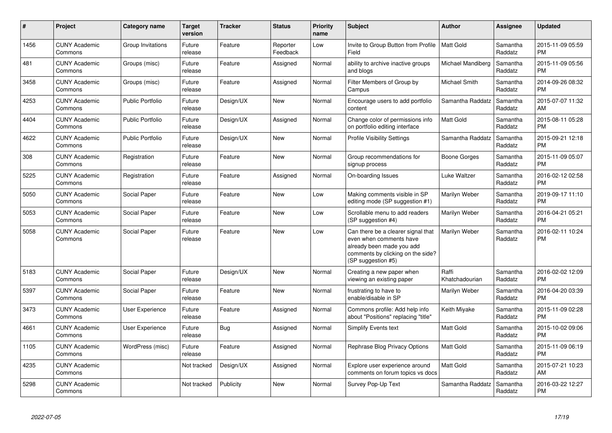| #    | Project                         | <b>Category name</b>    | Target<br>version | <b>Tracker</b> | <b>Status</b>        | <b>Priority</b><br>name | <b>Subject</b>                                                                                                                                        | <b>Author</b>           | Assignee            | <b>Updated</b>                |
|------|---------------------------------|-------------------------|-------------------|----------------|----------------------|-------------------------|-------------------------------------------------------------------------------------------------------------------------------------------------------|-------------------------|---------------------|-------------------------------|
| 1456 | <b>CUNY Academic</b><br>Commons | Group Invitations       | Future<br>release | Feature        | Reporter<br>Feedback | Low                     | Invite to Group Button from Profile<br>Field                                                                                                          | Matt Gold               | Samantha<br>Raddatz | 2015-11-09 05:59<br><b>PM</b> |
| 481  | <b>CUNY Academic</b><br>Commons | Groups (misc)           | Future<br>release | Feature        | Assigned             | Normal                  | ability to archive inactive groups<br>and blogs                                                                                                       | Michael Mandiberg       | Samantha<br>Raddatz | 2015-11-09 05:56<br>PM        |
| 3458 | <b>CUNY Academic</b><br>Commons | Groups (misc)           | Future<br>release | Feature        | Assigned             | Normal                  | Filter Members of Group by<br>Campus                                                                                                                  | Michael Smith           | Samantha<br>Raddatz | 2014-09-26 08:32<br><b>PM</b> |
| 4253 | <b>CUNY Academic</b><br>Commons | <b>Public Portfolio</b> | Future<br>release | Design/UX      | New                  | Normal                  | Encourage users to add portfolio<br>content                                                                                                           | Samantha Raddatz        | Samantha<br>Raddatz | 2015-07-07 11:32<br>AM        |
| 4404 | <b>CUNY Academic</b><br>Commons | <b>Public Portfolio</b> | Future<br>release | Design/UX      | Assigned             | Normal                  | Change color of permissions info<br>on portfolio editing interface                                                                                    | Matt Gold               | Samantha<br>Raddatz | 2015-08-11 05:28<br>PM.       |
| 4622 | <b>CUNY Academic</b><br>Commons | <b>Public Portfolio</b> | Future<br>release | Design/UX      | <b>New</b>           | Normal                  | <b>Profile Visibility Settings</b>                                                                                                                    | Samantha Raddatz        | Samantha<br>Raddatz | 2015-09-21 12:18<br><b>PM</b> |
| 308  | <b>CUNY Academic</b><br>Commons | Registration            | Future<br>release | Feature        | <b>New</b>           | Normal                  | Group recommendations for<br>signup process                                                                                                           | Boone Gorges            | Samantha<br>Raddatz | 2015-11-09 05:07<br><b>PM</b> |
| 5225 | <b>CUNY Academic</b><br>Commons | Registration            | Future<br>release | Feature        | Assigned             | Normal                  | On-boarding Issues                                                                                                                                    | Luke Waltzer            | Samantha<br>Raddatz | 2016-02-12 02:58<br><b>PM</b> |
| 5050 | <b>CUNY Academic</b><br>Commons | Social Paper            | Future<br>release | Feature        | New                  | Low                     | Making comments visible in SP<br>editing mode (SP suggestion #1)                                                                                      | Marilyn Weber           | Samantha<br>Raddatz | 2019-09-17 11:10<br><b>PM</b> |
| 5053 | <b>CUNY Academic</b><br>Commons | Social Paper            | Future<br>release | Feature        | New                  | Low                     | Scrollable menu to add readers<br>(SP suggestion #4)                                                                                                  | Marilyn Weber           | Samantha<br>Raddatz | 2016-04-21 05:21<br><b>PM</b> |
| 5058 | <b>CUNY Academic</b><br>Commons | Social Paper            | Future<br>release | Feature        | New                  | Low                     | Can there be a clearer signal that<br>even when comments have<br>already been made you add<br>comments by clicking on the side?<br>(SP suggestion #5) | Marilyn Weber           | Samantha<br>Raddatz | 2016-02-11 10:24<br><b>PM</b> |
| 5183 | <b>CUNY Academic</b><br>Commons | Social Paper            | Future<br>release | Design/UX      | New                  | Normal                  | Creating a new paper when<br>viewing an existing paper                                                                                                | Raffi<br>Khatchadourian | Samantha<br>Raddatz | 2016-02-02 12:09<br><b>PM</b> |
| 5397 | <b>CUNY Academic</b><br>Commons | Social Paper            | Future<br>release | Feature        | New                  | Normal                  | frustrating to have to<br>enable/disable in SP                                                                                                        | Marilyn Weber           | Samantha<br>Raddatz | 2016-04-20 03:39<br><b>PM</b> |
| 3473 | <b>CUNY Academic</b><br>Commons | User Experience         | Future<br>release | Feature        | Assigned             | Normal                  | Commons profile: Add help info<br>about "Positions" replacing "title"                                                                                 | Keith Miyake            | Samantha<br>Raddatz | 2015-11-09 02:28<br><b>PM</b> |
| 4661 | <b>CUNY Academic</b><br>Commons | User Experience         | Future<br>release | Bug            | Assigned             | Normal                  | <b>Simplify Events text</b>                                                                                                                           | Matt Gold               | Samantha<br>Raddatz | 2015-10-02 09:06<br><b>PM</b> |
| 1105 | <b>CUNY Academic</b><br>Commons | WordPress (misc)        | Future<br>release | Feature        | Assigned             | Normal                  | Rephrase Blog Privacy Options                                                                                                                         | <b>Matt Gold</b>        | Samantha<br>Raddatz | 2015-11-09 06:19<br><b>PM</b> |
| 4235 | <b>CUNY Academic</b><br>Commons |                         | Not tracked       | Design/UX      | Assigned             | Normal                  | Explore user experience around<br>comments on forum topics vs docs                                                                                    | Matt Gold               | Samantha<br>Raddatz | 2015-07-21 10:23<br>AM        |
| 5298 | <b>CUNY Academic</b><br>Commons |                         | Not tracked       | Publicity      | <b>New</b>           | Normal                  | Survey Pop-Up Text                                                                                                                                    | Samantha Raddatz        | Samantha<br>Raddatz | 2016-03-22 12:27<br>PM        |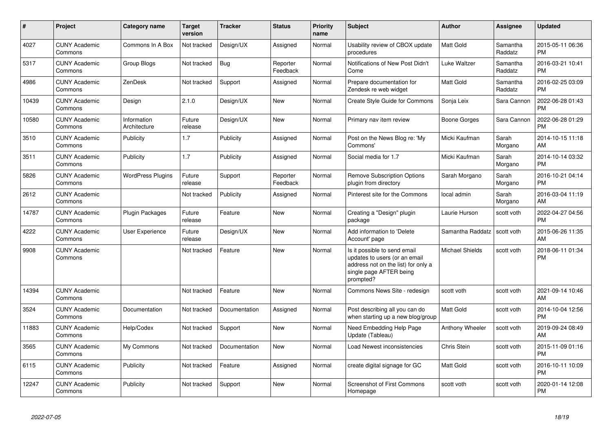| $\#$  | Project                         | <b>Category name</b>        | <b>Target</b><br>version | <b>Tracker</b> | <b>Status</b>        | Priority<br>name | <b>Subject</b>                                                                                                                               | <b>Author</b>          | <b>Assignee</b>     | <b>Updated</b>                |
|-------|---------------------------------|-----------------------------|--------------------------|----------------|----------------------|------------------|----------------------------------------------------------------------------------------------------------------------------------------------|------------------------|---------------------|-------------------------------|
| 4027  | <b>CUNY Academic</b><br>Commons | Commons In A Box            | Not tracked              | Design/UX      | Assigned             | Normal           | Usability review of CBOX update<br>procedures                                                                                                | <b>Matt Gold</b>       | Samantha<br>Raddatz | 2015-05-11 06:36<br><b>PM</b> |
| 5317  | <b>CUNY Academic</b><br>Commons | Group Blogs                 | Not tracked              | <b>Bug</b>     | Reporter<br>Feedback | Normal           | Notifications of New Post Didn't<br>Come                                                                                                     | Luke Waltzer           | Samantha<br>Raddatz | 2016-03-21 10:41<br><b>PM</b> |
| 4986  | <b>CUNY Academic</b><br>Commons | ZenDesk                     | Not tracked              | Support        | Assigned             | Normal           | Prepare documentation for<br>Zendesk re web widget                                                                                           | Matt Gold              | Samantha<br>Raddatz | 2016-02-25 03:09<br><b>PM</b> |
| 10439 | <b>CUNY Academic</b><br>Commons | Design                      | 2.1.0                    | Design/UX      | New                  | Normal           | Create Style Guide for Commons                                                                                                               | Sonja Leix             | Sara Cannon         | 2022-06-28 01:43<br><b>PM</b> |
| 10580 | <b>CUNY Academic</b><br>Commons | Information<br>Architecture | Future<br>release        | Design/UX      | <b>New</b>           | Normal           | Primary nav item review                                                                                                                      | Boone Gorges           | Sara Cannon         | 2022-06-28 01:29<br><b>PM</b> |
| 3510  | <b>CUNY Academic</b><br>Commons | Publicity                   | 1.7                      | Publicity      | Assigned             | Normal           | Post on the News Blog re: 'My<br>Commons'                                                                                                    | Micki Kaufman          | Sarah<br>Morgano    | 2014-10-15 11:18<br>AM        |
| 3511  | <b>CUNY Academic</b><br>Commons | Publicity                   | 1.7                      | Publicity      | Assigned             | Normal           | Social media for 1.7                                                                                                                         | Micki Kaufman          | Sarah<br>Morgano    | 2014-10-14 03:32<br><b>PM</b> |
| 5826  | <b>CUNY Academic</b><br>Commons | <b>WordPress Plugins</b>    | Future<br>release        | Support        | Reporter<br>Feedback | Normal           | <b>Remove Subscription Options</b><br>plugin from directory                                                                                  | Sarah Morgano          | Sarah<br>Morgano    | 2016-10-21 04:14<br><b>PM</b> |
| 2612  | <b>CUNY Academic</b><br>Commons |                             | Not tracked              | Publicity      | Assigned             | Normal           | Pinterest site for the Commons                                                                                                               | local admin            | Sarah<br>Morgano    | 2016-03-04 11:19<br>AM        |
| 14787 | <b>CUNY Academic</b><br>Commons | Plugin Packages             | Future<br>release        | Feature        | <b>New</b>           | Normal           | Creating a "Design" plugin<br>package                                                                                                        | Laurie Hurson          | scott voth          | 2022-04-27 04:56<br><b>PM</b> |
| 4222  | <b>CUNY Academic</b><br>Commons | User Experience             | Future<br>release        | Design/UX      | New                  | Normal           | Add information to 'Delete<br>Account' page                                                                                                  | Samantha Raddatz       | scott voth          | 2015-06-26 11:35<br>AM        |
| 9908  | <b>CUNY Academic</b><br>Commons |                             | Not tracked              | Feature        | <b>New</b>           | Normal           | Is it possible to send email<br>updates to users (or an email<br>address not on the list) for only a<br>single page AFTER being<br>prompted? | <b>Michael Shields</b> | scott voth          | 2018-06-11 01:34<br><b>PM</b> |
| 14394 | <b>CUNY Academic</b><br>Commons |                             | Not tracked              | Feature        | New                  | Normal           | Commons News Site - redesign                                                                                                                 | scott voth             | scott voth          | 2021-09-14 10:46<br>AM        |
| 3524  | <b>CUNY Academic</b><br>Commons | Documentation               | Not tracked              | Documentation  | Assigned             | Normal           | Post describing all you can do<br>when starting up a new blog/group                                                                          | Matt Gold              | scott voth          | 2014-10-04 12:56<br><b>PM</b> |
| 11883 | <b>CUNY Academic</b><br>Commons | Help/Codex                  | Not tracked              | Support        | New                  | Normal           | Need Embedding Help Page<br>Update (Tableau)                                                                                                 | Anthony Wheeler        | scott voth          | 2019-09-24 08:49<br>AM        |
| 3565  | <b>CUNY Academic</b><br>Commons | My Commons                  | Not tracked              | Documentation  | New                  | Normal           | Load Newest inconsistencies                                                                                                                  | Chris Stein            | scott voth          | 2015-11-09 01:16<br><b>PM</b> |
| 6115  | <b>CUNY Academic</b><br>Commons | <b>Publicity</b>            | Not tracked              | Feature        | Assigned             | Normal           | create digital signage for GC                                                                                                                | <b>Matt Gold</b>       | scott voth          | 2016-10-11 10:09<br><b>PM</b> |
| 12247 | <b>CUNY Academic</b><br>Commons | Publicity                   | Not tracked              | Support        | New                  | Normal           | Screenshot of First Commons<br>Homepage                                                                                                      | scott voth             | scott voth          | 2020-01-14 12:08<br><b>PM</b> |